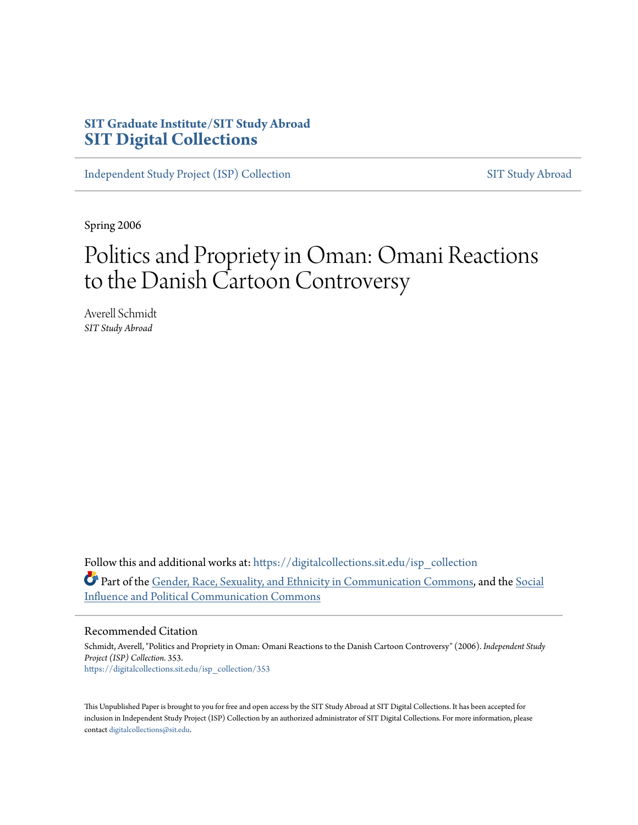# **SIT Graduate Institute/SIT Study Abroad [SIT Digital Collections](https://digitalcollections.sit.edu?utm_source=digitalcollections.sit.edu%2Fisp_collection%2F353&utm_medium=PDF&utm_campaign=PDFCoverPages)**

[Independent Study Project \(ISP\) Collection](https://digitalcollections.sit.edu/isp_collection?utm_source=digitalcollections.sit.edu%2Fisp_collection%2F353&utm_medium=PDF&utm_campaign=PDFCoverPages) [SIT Study Abroad](https://digitalcollections.sit.edu/study_abroad?utm_source=digitalcollections.sit.edu%2Fisp_collection%2F353&utm_medium=PDF&utm_campaign=PDFCoverPages)

Spring 2006

# Politics and Propriety in Oman: Omani Reactions to the Danish Cartoon Controversy

Averell Schmidt *SIT Study Abroad*

Follow this and additional works at: [https://digitalcollections.sit.edu/isp\\_collection](https://digitalcollections.sit.edu/isp_collection?utm_source=digitalcollections.sit.edu%2Fisp_collection%2F353&utm_medium=PDF&utm_campaign=PDFCoverPages) Part of the [Gender, Race, Sexuality, and Ethnicity in Communication Commons](http://network.bepress.com/hgg/discipline/329?utm_source=digitalcollections.sit.edu%2Fisp_collection%2F353&utm_medium=PDF&utm_campaign=PDFCoverPages), and the [Social](http://network.bepress.com/hgg/discipline/337?utm_source=digitalcollections.sit.edu%2Fisp_collection%2F353&utm_medium=PDF&utm_campaign=PDFCoverPages) [Influence and Political Communication Commons](http://network.bepress.com/hgg/discipline/337?utm_source=digitalcollections.sit.edu%2Fisp_collection%2F353&utm_medium=PDF&utm_campaign=PDFCoverPages)

#### Recommended Citation

Schmidt, Averell, "Politics and Propriety in Oman: Omani Reactions to the Danish Cartoon Controversy" (2006). *Independent Study Project (ISP) Collection*. 353. [https://digitalcollections.sit.edu/isp\\_collection/353](https://digitalcollections.sit.edu/isp_collection/353?utm_source=digitalcollections.sit.edu%2Fisp_collection%2F353&utm_medium=PDF&utm_campaign=PDFCoverPages)

This Unpublished Paper is brought to you for free and open access by the SIT Study Abroad at SIT Digital Collections. It has been accepted for inclusion in Independent Study Project (ISP) Collection by an authorized administrator of SIT Digital Collections. For more information, please contact [digitalcollections@sit.edu](mailto:digitalcollections@sit.edu).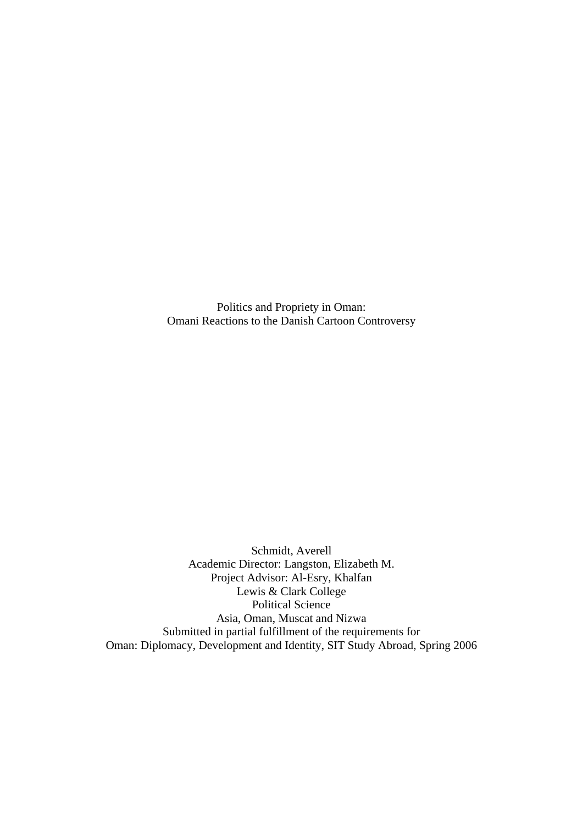Politics and Propriety in Oman: Omani Reactions to the Danish Cartoon Controversy

Schmidt, Averell Academic Director: Langston, Elizabeth M. Project Advisor: Al-Esry, Khalfan Lewis & Clark College Political Science Asia, Oman, Muscat and Nizwa Submitted in partial fulfillment of the requirements for Oman: Diplomacy, Development and Identity, SIT Study Abroad, Spring 2006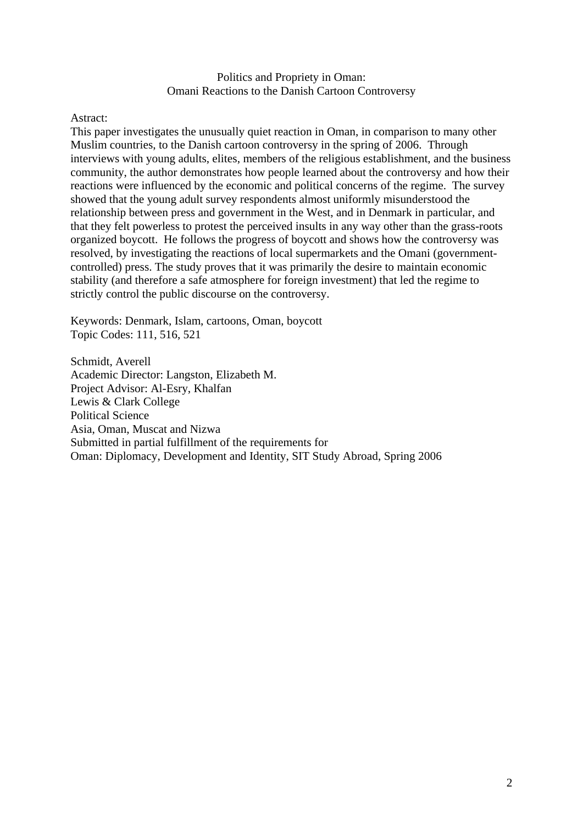Politics and Propriety in Oman: Omani Reactions to the Danish Cartoon Controversy

Astract:

This paper investigates the unusually quiet reaction in Oman, in comparison to many other Muslim countries, to the Danish cartoon controversy in the spring of 2006. Through interviews with young adults, elites, members of the religious establishment, and the business community, the author demonstrates how people learned about the controversy and how their reactions were influenced by the economic and political concerns of the regime. The survey showed that the young adult survey respondents almost uniformly misunderstood the relationship between press and government in the West, and in Denmark in particular, and that they felt powerless to protest the perceived insults in any way other than the grass-roots organized boycott. He follows the progress of boycott and shows how the controversy was resolved, by investigating the reactions of local supermarkets and the Omani (governmentcontrolled) press. The study proves that it was primarily the desire to maintain economic stability (and therefore a safe atmosphere for foreign investment) that led the regime to strictly control the public discourse on the controversy.

Keywords: Denmark, Islam, cartoons, Oman, boycott Topic Codes: 111, 516, 521

Schmidt, Averell Academic Director: Langston, Elizabeth M. Project Advisor: Al-Esry, Khalfan Lewis & Clark College Political Science Asia, Oman, Muscat and Nizwa Submitted in partial fulfillment of the requirements for Oman: Diplomacy, Development and Identity, SIT Study Abroad, Spring 2006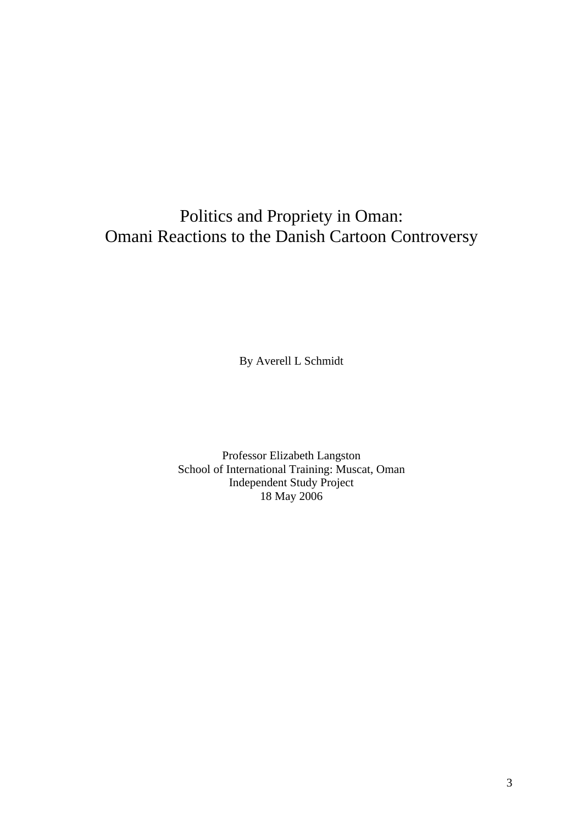# Politics and Propriety in Oman: Omani Reactions to the Danish Cartoon Controversy

By Averell L Schmidt

Professor Elizabeth Langston School of International Training: Muscat, Oman Independent Study Project 18 May 2006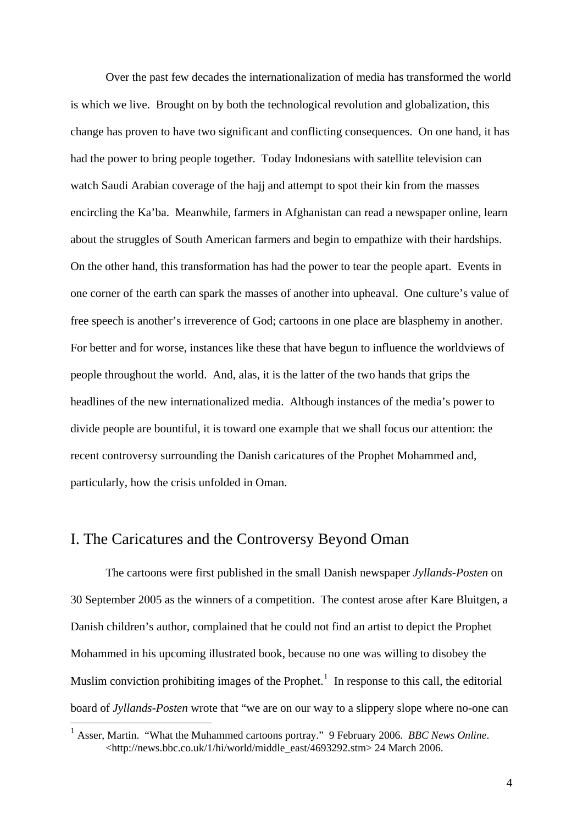Over the past few decades the internationalization of media has transformed the world is which we live. Brought on by both the technological revolution and globalization, this change has proven to have two significant and conflicting consequences. On one hand, it has had the power to bring people together. Today Indonesians with satellite television can watch Saudi Arabian coverage of the hajj and attempt to spot their kin from the masses encircling the Ka'ba. Meanwhile, farmers in Afghanistan can read a newspaper online, learn about the struggles of South American farmers and begin to empathize with their hardships. On the other hand, this transformation has had the power to tear the people apart. Events in one corner of the earth can spark the masses of another into upheaval. One culture's value of free speech is another's irreverence of God; cartoons in one place are blasphemy in another. For better and for worse, instances like these that have begun to influence the worldviews of people throughout the world. And, alas, it is the latter of the two hands that grips the headlines of the new internationalized media. Although instances of the media's power to divide people are bountiful, it is toward one example that we shall focus our attention: the recent controversy surrounding the Danish caricatures of the Prophet Mohammed and, particularly, how the crisis unfolded in Oman.

## I. The Caricatures and the Controversy Beyond Oman

1

The cartoons were first published in the small Danish newspaper *Jyllands-Posten* on 30 September 2005 as the winners of a competition. The contest arose after Kare Bluitgen, a Danish children's author, complained that he could not find an artist to depict the Prophet Mohammed in his upcoming illustrated book, because no one was willing to disobey the Muslim conviction prohibiting images of the Prophet.<sup>[1](#page-4-0)</sup> In response to this call, the editorial board of *Jyllands-Posten* wrote that "we are on our way to a slippery slope where no-one can

<span id="page-4-0"></span><sup>1</sup> Asser, Martin. "What the Muhammed cartoons portray." 9 February 2006. *BBC News Online*. <http://news.bbc.co.uk/1/hi/world/middle\_east/4693292.stm> 24 March 2006.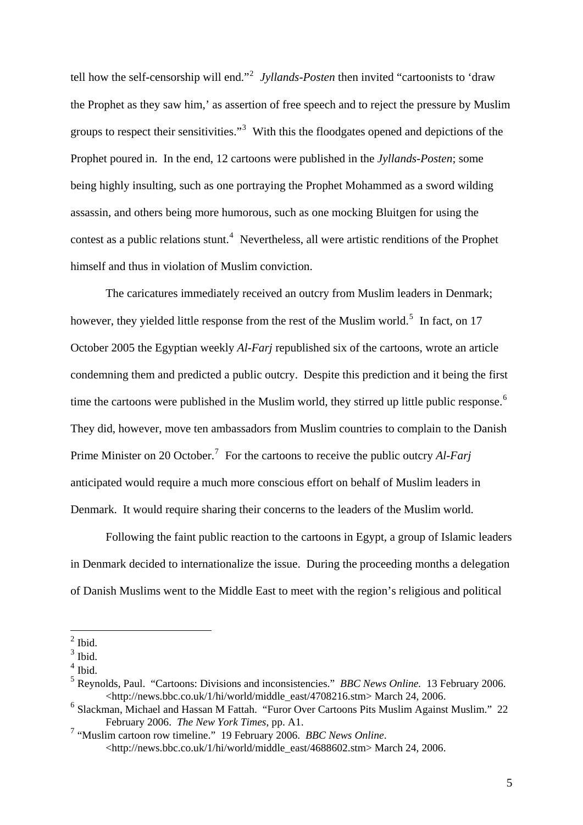tell how the self-censorship will end."[2](#page-5-0) *Jyllands-Posten* then invited "cartoonists to 'draw the Prophet as they saw him,' as assertion of free speech and to reject the pressure by Muslim groups to respect their sensitivities.<sup>[3](#page-5-1)</sup> With this the floodgates opened and depictions of the Prophet poured in. In the end, 12 cartoons were published in the *Jyllands-Posten*; some being highly insulting, such as one portraying the Prophet Mohammed as a sword wilding assassin, and others being more humorous, such as one mocking Bluitgen for using the contest as a public relations stunt.<sup>[4](#page-5-2)</sup> Nevertheless, all were artistic renditions of the Prophet himself and thus in violation of Muslim conviction.

The caricatures immediately received an outcry from Muslim leaders in Denmark; however, they yielded little response from the rest of the Muslim world.<sup>[5](#page-5-3)</sup> In fact, on 17 October 2005 the Egyptian weekly *Al-Farj* republished six of the cartoons, wrote an article condemning them and predicted a public outcry. Despite this prediction and it being the first time the cartoons were published in the Muslim world, they stirred up little public response.<sup>[6](#page-5-4)</sup> They did, however, move ten ambassadors from Muslim countries to complain to the Danish Prime Minister on 20 October.<sup>[7](#page-5-5)</sup> For the cartoons to receive the public outcry *Al-Farj* anticipated would require a much more conscious effort on behalf of Muslim leaders in Denmark. It would require sharing their concerns to the leaders of the Muslim world.

Following the faint public reaction to the cartoons in Egypt, a group of Islamic leaders in Denmark decided to internationalize the issue. During the proceeding months a delegation of Danish Muslims went to the Middle East to meet with the region's religious and political

 $<sup>2</sup>$  Ibid.</sup>

<span id="page-5-1"></span><span id="page-5-0"></span> $3$  Ibid.

<span id="page-5-2"></span> $<sup>4</sup>$  Ibid.</sup>

<span id="page-5-3"></span><sup>5</sup> Reynolds, Paul. "Cartoons: Divisions and inconsistencies." *BBC News Online.* 13 February 2006. <http://news.bbc.co.uk/1/hi/world/middle\_east/4708216.stm> March 24, 2006.

<span id="page-5-4"></span><sup>6</sup> Slackman, Michael and Hassan M Fattah. "Furor Over Cartoons Pits Muslim Against Muslim." 22 February 2006. *The New York Times*, pp. A1.

<span id="page-5-5"></span><sup>7</sup> "Muslim cartoon row timeline." 19 February 2006. *BBC News Online*. <http://news.bbc.co.uk/1/hi/world/middle\_east/4688602.stm> March 24, 2006.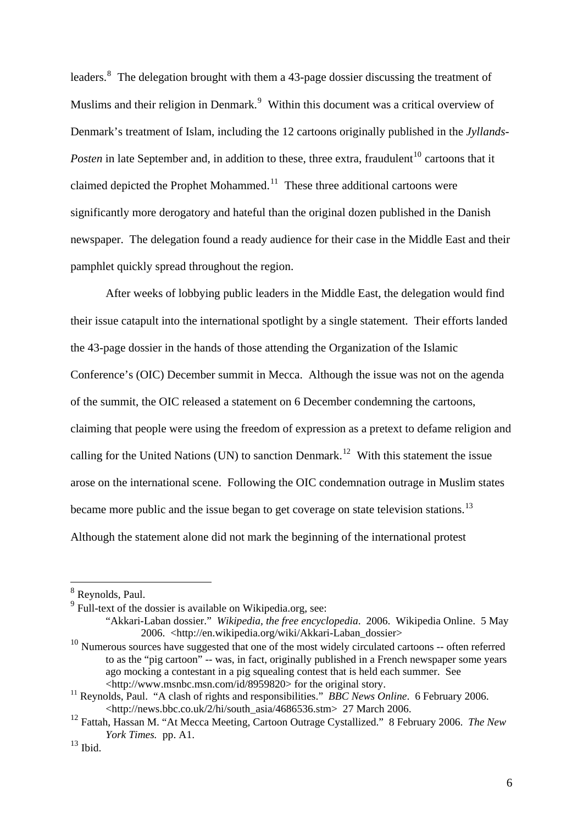leaders. $8$  The delegation brought with them a 43-page dossier discussing the treatment of Muslims and their religion in Denmark. $9$  Within this document was a critical overview of Denmark's treatment of Islam, including the 12 cartoons originally published in the *Jyllands-Posten* in late September and, in addition to these, three extra, fraudulent<sup>[10](#page-6-2)</sup> cartoons that it claimed depicted the Prophet Mohammed.<sup>[11](#page-6-3)</sup> These three additional cartoons were significantly more derogatory and hateful than the original dozen published in the Danish newspaper. The delegation found a ready audience for their case in the Middle East and their pamphlet quickly spread throughout the region.

After weeks of lobbying public leaders in the Middle East, the delegation would find their issue catapult into the international spotlight by a single statement. Their efforts landed the 43-page dossier in the hands of those attending the Organization of the Islamic Conference's (OIC) December summit in Mecca. Although the issue was not on the agenda of the summit, the OIC released a statement on 6 December condemning the cartoons, claiming that people were using the freedom of expression as a pretext to defame religion and calling for the United Nations (UN) to sanction Denmark.<sup>[12](#page-6-4)</sup> With this statement the issue arose on the international scene. Following the OIC condemnation outrage in Muslim states became more public and the issue began to get coverage on state television stations.<sup>[13](#page-6-5)</sup> Although the statement alone did not mark the beginning of the international protest

<span id="page-6-0"></span><sup>8</sup> Reynolds, Paul.

<span id="page-6-1"></span><sup>&</sup>lt;sup>9</sup> Full-text of the dossier is available on Wikipedia.org, see:

<sup>&</sup>quot;Akkari-Laban dossier." *Wikipedia, the free encyclopedia*. 2006. Wikipedia Online. 5 May 2006. <http://en.wikipedia.org/wiki/Akkari-Laban\_dossier>

<span id="page-6-2"></span><sup>&</sup>lt;sup>10</sup> Numerous sources have suggested that one of the most widely circulated cartoons -- often referred to as the "pig cartoon" -- was, in fact, originally published in a French newspaper some years ago mocking a contestant in a pig squealing contest that is held each summer. See

<span id="page-6-3"></span><sup>&</sup>lt;http://www.msnbc.msn.com/id/8959820> for the original story. 11 Reynolds, Paul. "A clash of rights and responsibilities." *BBC News Online*. 6 February 2006. <http://news.bbc.co.uk/2/hi/south\_asia/4686536.stm> 27 March 2006.

<span id="page-6-4"></span><sup>12</sup> Fattah, Hassan M. "At Mecca Meeting, Cartoon Outrage Cystallized." 8 February 2006. *The New York Times.* pp. A1.

<span id="page-6-5"></span> $^{13}$  Ibid.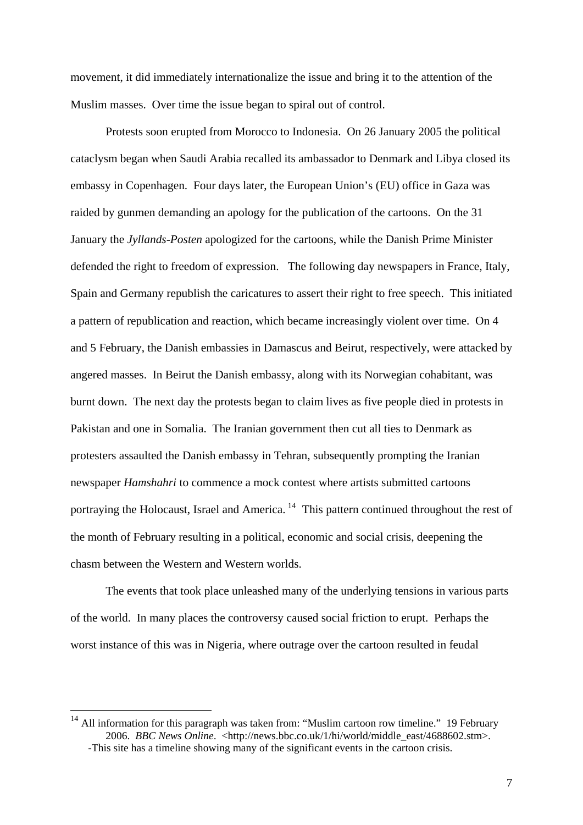movement, it did immediately internationalize the issue and bring it to the attention of the Muslim masses. Over time the issue began to spiral out of control.

Protests soon erupted from Morocco to Indonesia. On 26 January 2005 the political cataclysm began when Saudi Arabia recalled its ambassador to Denmark and Libya closed its embassy in Copenhagen. Four days later, the European Union's (EU) office in Gaza was raided by gunmen demanding an apology for the publication of the cartoons. On the 31 January the *Jyllands-Posten* apologized for the cartoons, while the Danish Prime Minister defended the right to freedom of expression. The following day newspapers in France, Italy, Spain and Germany republish the caricatures to assert their right to free speech. This initiated a pattern of republication and reaction, which became increasingly violent over time. On 4 and 5 February, the Danish embassies in Damascus and Beirut, respectively, were attacked by angered masses. In Beirut the Danish embassy, along with its Norwegian cohabitant, was burnt down. The next day the protests began to claim lives as five people died in protests in Pakistan and one in Somalia. The Iranian government then cut all ties to Denmark as protesters assaulted the Danish embassy in Tehran, subsequently prompting the Iranian newspaper *Hamshahri* to commence a mock contest where artists submitted cartoons portraying the Holocaust, Israel and America.  $14$  This pattern continued throughout the rest of the month of February resulting in a political, economic and social crisis, deepening the chasm between the Western and Western worlds.

The events that took place unleashed many of the underlying tensions in various parts of the world. In many places the controversy caused social friction to erupt. Perhaps the worst instance of this was in Nigeria, where outrage over the cartoon resulted in feudal

<span id="page-7-0"></span> $14$  All information for this paragraph was taken from: "Muslim cartoon row timeline." 19 February 2006. *BBC News Online*. <http://news.bbc.co.uk/1/hi/world/middle\_east/4688602.stm>. -This site has a timeline showing many of the significant events in the cartoon crisis.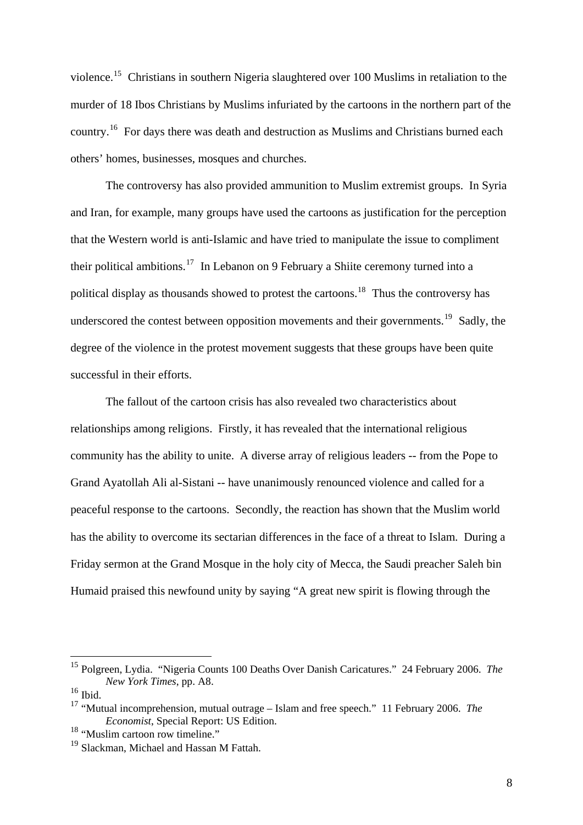violence.[15](#page-8-0) Christians in southern Nigeria slaughtered over 100 Muslims in retaliation to the murder of 18 Ibos Christians by Muslims infuriated by the cartoons in the northern part of the country.[16](#page-8-1) For days there was death and destruction as Muslims and Christians burned each others' homes, businesses, mosques and churches.

The controversy has also provided ammunition to Muslim extremist groups. In Syria and Iran, for example, many groups have used the cartoons as justification for the perception that the Western world is anti-Islamic and have tried to manipulate the issue to compliment their political ambitions.<sup>[17](#page-8-2)</sup> In Lebanon on 9 February a Shiite ceremony turned into a political display as thousands showed to protest the cartoons.<sup>[18](#page-8-3)</sup> Thus the controversy has underscored the contest between opposition movements and their governments.<sup>[19](#page-8-4)</sup> Sadly, the degree of the violence in the protest movement suggests that these groups have been quite successful in their efforts.

The fallout of the cartoon crisis has also revealed two characteristics about relationships among religions. Firstly, it has revealed that the international religious community has the ability to unite. A diverse array of religious leaders -- from the Pope to Grand Ayatollah Ali al-Sistani -- have unanimously renounced violence and called for a peaceful response to the cartoons. Secondly, the reaction has shown that the Muslim world has the ability to overcome its sectarian differences in the face of a threat to Islam. During a Friday sermon at the Grand Mosque in the holy city of Mecca, the Saudi preacher Saleh bin Humaid praised this newfound unity by saying "A great new spirit is flowing through the

<span id="page-8-0"></span><sup>15</sup> Polgreen, Lydia. "Nigeria Counts 100 Deaths Over Danish Caricatures." 24 February 2006. *The New York Times*, pp. A8.

<span id="page-8-1"></span> $^{16}$  Ibid.

<span id="page-8-2"></span><sup>17</sup> "Mutual incomprehension, mutual outrage – Islam and free speech." 11 February 2006. *The Economist*, Special Report: US Edition.

<span id="page-8-3"></span><sup>&</sup>lt;sup>18</sup> "Muslim cartoon row timeline."

<span id="page-8-4"></span><sup>&</sup>lt;sup>19</sup> Slackman, Michael and Hassan M Fattah.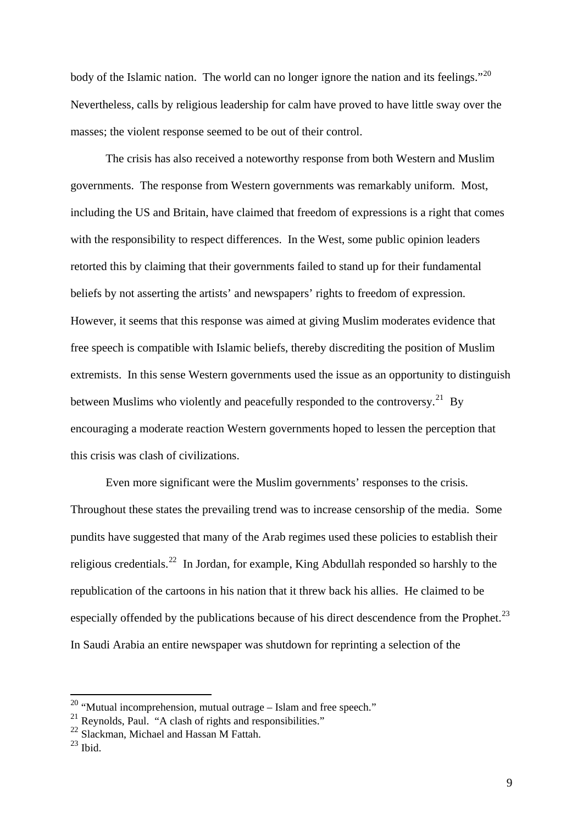body of the Islamic nation. The world can no longer ignore the nation and its feelings."<sup>[20](#page-9-0)</sup> Nevertheless, calls by religious leadership for calm have proved to have little sway over the masses; the violent response seemed to be out of their control.

The crisis has also received a noteworthy response from both Western and Muslim governments. The response from Western governments was remarkably uniform. Most, including the US and Britain, have claimed that freedom of expressions is a right that comes with the responsibility to respect differences. In the West, some public opinion leaders retorted this by claiming that their governments failed to stand up for their fundamental beliefs by not asserting the artists' and newspapers' rights to freedom of expression. However, it seems that this response was aimed at giving Muslim moderates evidence that free speech is compatible with Islamic beliefs, thereby discrediting the position of Muslim extremists. In this sense Western governments used the issue as an opportunity to distinguish between Muslims who violently and peacefully responded to the controversy.<sup>[21](#page-9-1)</sup> By encouraging a moderate reaction Western governments hoped to lessen the perception that this crisis was clash of civilizations.

Even more significant were the Muslim governments' responses to the crisis. Throughout these states the prevailing trend was to increase censorship of the media. Some pundits have suggested that many of the Arab regimes used these policies to establish their religious credentials.<sup>[22](#page-9-2)</sup> In Jordan, for example, King Abdullah responded so harshly to the republication of the cartoons in his nation that it threw back his allies. He claimed to be especially offended by the publications because of his direct descendence from the Prophet.<sup>[23](#page-9-3)</sup> In Saudi Arabia an entire newspaper was shutdown for reprinting a selection of the

<span id="page-9-0"></span> $20$  "Mutual incomprehension, mutual outrage – Islam and free speech."

<span id="page-9-1"></span><sup>&</sup>lt;sup>21</sup> Reynolds, Paul. "A clash of rights and responsibilities."

<span id="page-9-2"></span><sup>&</sup>lt;sup>22</sup> Slackman, Michael and Hassan M Fattah.

<span id="page-9-3"></span> $23$  Ibid.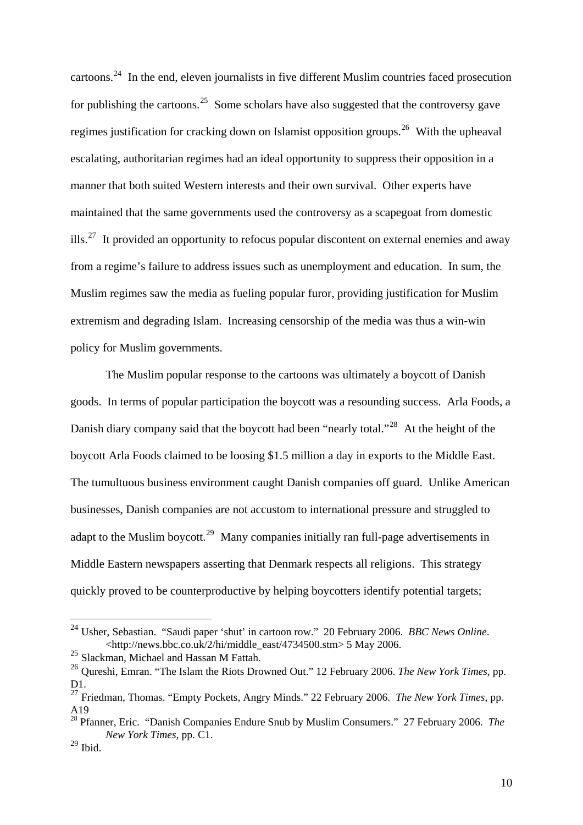cartoons.<sup>[24](#page-10-0)</sup> In the end, eleven journalists in five different Muslim countries faced prosecution for publishing the cartoons.<sup>[25](#page-10-1)</sup> Some scholars have also suggested that the controversy gave regimes justification for cracking down on Islamist opposition groups.<sup>[26](#page-10-2)</sup> With the upheaval escalating, authoritarian regimes had an ideal opportunity to suppress their opposition in a manner that both suited Western interests and their own survival. Other experts have maintained that the same governments used the controversy as a scapegoat from domestic ills.<sup>[27](#page-10-3)</sup> It provided an opportunity to refocus popular discontent on external enemies and away from a regime's failure to address issues such as unemployment and education. In sum, the Muslim regimes saw the media as fueling popular furor, providing justification for Muslim extremism and degrading Islam. Increasing censorship of the media was thus a win-win policy for Muslim governments.

The Muslim popular response to the cartoons was ultimately a boycott of Danish goods. In terms of popular participation the boycott was a resounding success. Arla Foods, a Danish diary company said that the boycott had been "nearly total."<sup>[28](#page-10-4)</sup> At the height of the boycott Arla Foods claimed to be loosing \$1.5 million a day in exports to the Middle East. The tumultuous business environment caught Danish companies off guard. Unlike American businesses, Danish companies are not accustom to international pressure and struggled to adapt to the Muslim boycott.<sup>[29](#page-10-5)</sup> Many companies initially ran full-page advertisements in Middle Eastern newspapers asserting that Denmark respects all religions. This strategy quickly proved to be counterproductive by helping boycotters identify potential targets;

<span id="page-10-0"></span><sup>24</sup> Usher, Sebastian. "Saudi paper 'shut' in cartoon row." 20 February 2006. *BBC News Online*. <http://news.bbc.co.uk/2/hi/middle\_east/4734500.stm> 5 May 2006.

<span id="page-10-1"></span><sup>&</sup>lt;sup>25</sup> Slackman, Michael and Hassan M Fattah.

<span id="page-10-2"></span><sup>26</sup> Qureshi, Emran. "The Islam the Riots Drowned Out." 12 February 2006. *The New York Times*, pp. D1.

<span id="page-10-3"></span><sup>&</sup>lt;sup>27</sup> Friedman, Thomas. "Empty Pockets, Angry Minds." 22 February 2006. *The New York Times*, pp. A19

<span id="page-10-4"></span><sup>28</sup> Pfanner, Eric. "Danish Companies Endure Snub by Muslim Consumers." 27 February 2006. *The New York Times*, pp. C1.

<span id="page-10-5"></span> $^{29}$  Ibid.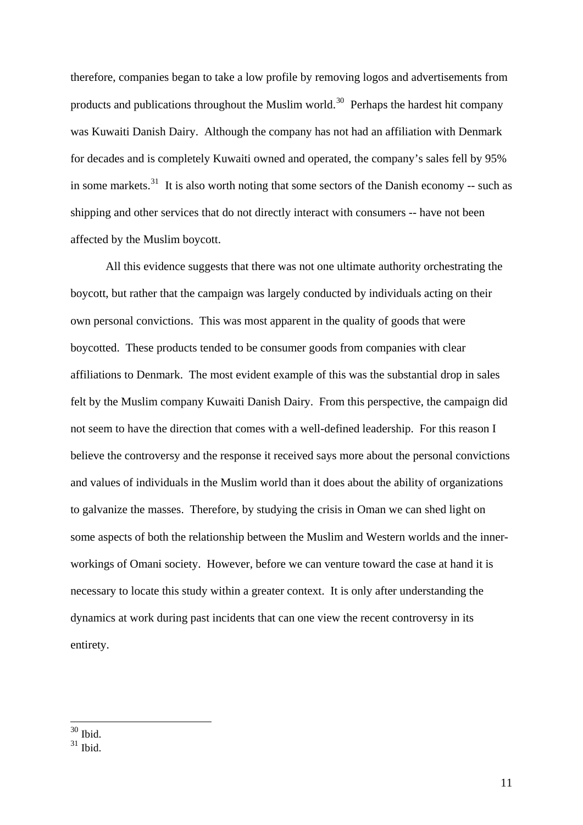therefore, companies began to take a low profile by removing logos and advertisements from products and publications throughout the Muslim world.<sup>[30](#page-11-0)</sup> Perhaps the hardest hit company was Kuwaiti Danish Dairy. Although the company has not had an affiliation with Denmark for decades and is completely Kuwaiti owned and operated, the company's sales fell by 95% in some markets. $31$  It is also worth noting that some sectors of the Danish economy -- such as shipping and other services that do not directly interact with consumers -- have not been affected by the Muslim boycott.

All this evidence suggests that there was not one ultimate authority orchestrating the boycott, but rather that the campaign was largely conducted by individuals acting on their own personal convictions. This was most apparent in the quality of goods that were boycotted. These products tended to be consumer goods from companies with clear affiliations to Denmark. The most evident example of this was the substantial drop in sales felt by the Muslim company Kuwaiti Danish Dairy. From this perspective, the campaign did not seem to have the direction that comes with a well-defined leadership. For this reason I believe the controversy and the response it received says more about the personal convictions and values of individuals in the Muslim world than it does about the ability of organizations to galvanize the masses. Therefore, by studying the crisis in Oman we can shed light on some aspects of both the relationship between the Muslim and Western worlds and the innerworkings of Omani society. However, before we can venture toward the case at hand it is necessary to locate this study within a greater context. It is only after understanding the dynamics at work during past incidents that can one view the recent controversy in its entirety.

 $30$  Ibid.

<span id="page-11-1"></span><span id="page-11-0"></span> $31$  Ibid.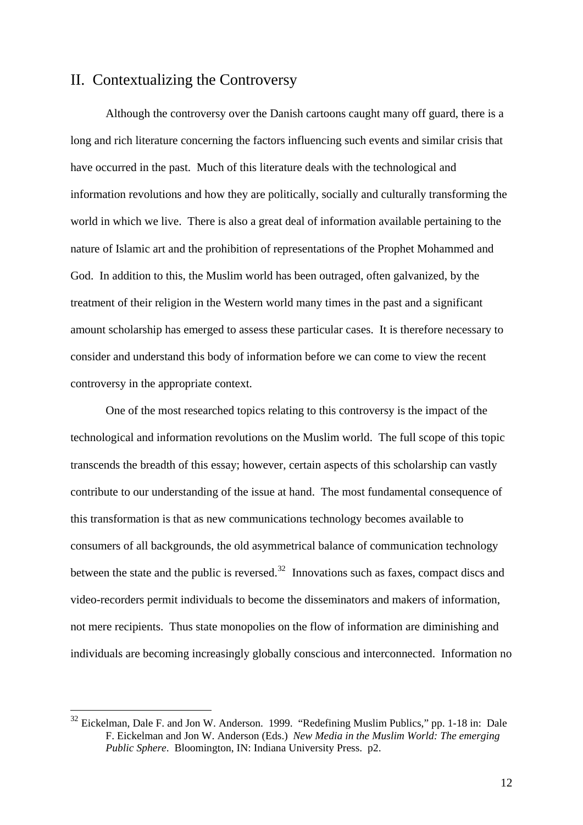## II. Contextualizing the Controversy

 Although the controversy over the Danish cartoons caught many off guard, there is a long and rich literature concerning the factors influencing such events and similar crisis that have occurred in the past. Much of this literature deals with the technological and information revolutions and how they are politically, socially and culturally transforming the world in which we live. There is also a great deal of information available pertaining to the nature of Islamic art and the prohibition of representations of the Prophet Mohammed and God. In addition to this, the Muslim world has been outraged, often galvanized, by the treatment of their religion in the Western world many times in the past and a significant amount scholarship has emerged to assess these particular cases. It is therefore necessary to consider and understand this body of information before we can come to view the recent controversy in the appropriate context.

 One of the most researched topics relating to this controversy is the impact of the technological and information revolutions on the Muslim world. The full scope of this topic transcends the breadth of this essay; however, certain aspects of this scholarship can vastly contribute to our understanding of the issue at hand. The most fundamental consequence of this transformation is that as new communications technology becomes available to consumers of all backgrounds, the old asymmetrical balance of communication technology between the state and the public is reversed.<sup>[32](#page-12-0)</sup> Innovations such as faxes, compact discs and video-recorders permit individuals to become the disseminators and makers of information, not mere recipients. Thus state monopolies on the flow of information are diminishing and individuals are becoming increasingly globally conscious and interconnected. Information no

<span id="page-12-0"></span> $32$  Eickelman, Dale F. and Jon W. Anderson. 1999. "Redefining Muslim Publics," pp. 1-18 in: Dale F. Eickelman and Jon W. Anderson (Eds.) *New Media in the Muslim World: The emerging Public Sphere*. Bloomington, IN: Indiana University Press. p2.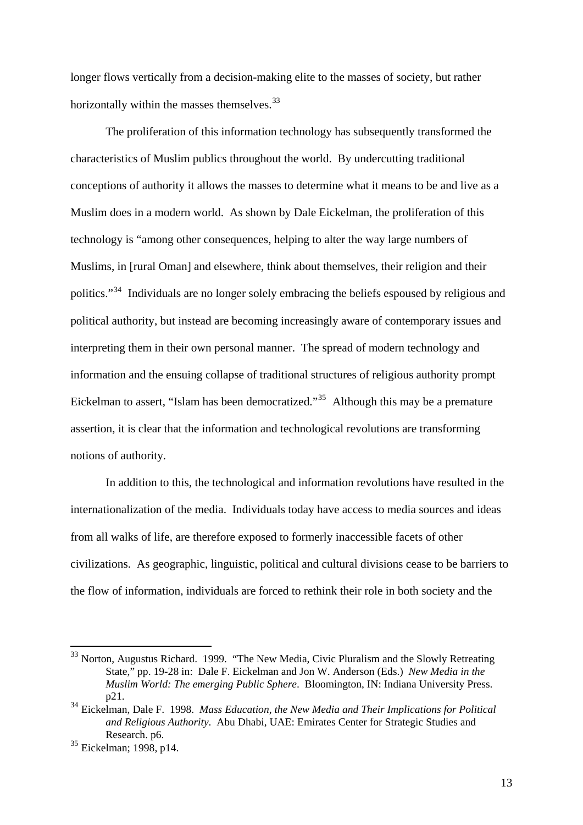longer flows vertically from a decision-making elite to the masses of society, but rather horizontally within the masses themselves. $33$ 

 The proliferation of this information technology has subsequently transformed the characteristics of Muslim publics throughout the world. By undercutting traditional conceptions of authority it allows the masses to determine what it means to be and live as a Muslim does in a modern world. As shown by Dale Eickelman, the proliferation of this technology is "among other consequences, helping to alter the way large numbers of Muslims, in [rural Oman] and elsewhere, think about themselves, their religion and their politics."[34](#page-13-1) Individuals are no longer solely embracing the beliefs espoused by religious and political authority, but instead are becoming increasingly aware of contemporary issues and interpreting them in their own personal manner. The spread of modern technology and information and the ensuing collapse of traditional structures of religious authority prompt Eickelman to assert, "Islam has been democratized."<sup>[35](#page-13-2)</sup> Although this may be a premature assertion, it is clear that the information and technological revolutions are transforming notions of authority.

 In addition to this, the technological and information revolutions have resulted in the internationalization of the media. Individuals today have access to media sources and ideas from all walks of life, are therefore exposed to formerly inaccessible facets of other civilizations. As geographic, linguistic, political and cultural divisions cease to be barriers to the flow of information, individuals are forced to rethink their role in both society and the

<u>.</u>

<span id="page-13-0"></span><sup>&</sup>lt;sup>33</sup> Norton, Augustus Richard. 1999. "The New Media, Civic Pluralism and the Slowly Retreating State," pp. 19-28 in: Dale F. Eickelman and Jon W. Anderson (Eds.) *New Media in the Muslim World: The emerging Public Sphere*. Bloomington, IN: Indiana University Press. p21.

<span id="page-13-1"></span><sup>34</sup> Eickelman, Dale F. 1998. *Mass Education, the New Media and Their Implications for Political and Religious Authority*. Abu Dhabi, UAE: Emirates Center for Strategic Studies and Research. p6.

<span id="page-13-2"></span><sup>35</sup> Eickelman; 1998, p14.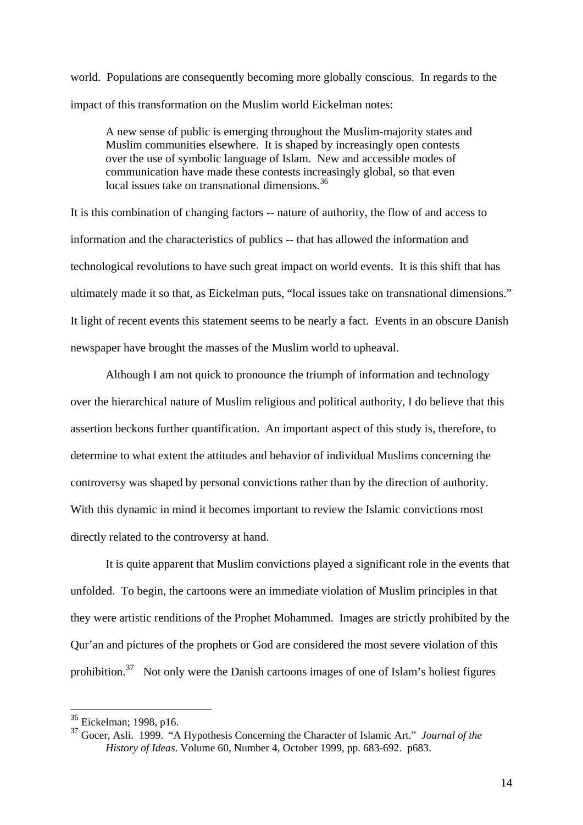world. Populations are consequently becoming more globally conscious. In regards to the impact of this transformation on the Muslim world Eickelman notes:

A new sense of public is emerging throughout the Muslim-majority states and Muslim communities elsewhere. It is shaped by increasingly open contests over the use of symbolic language of Islam. New and accessible modes of communication have made these contests increasingly global, so that even local issues take on transnational dimensions.<sup>[36](#page-14-0)</sup>

It is this combination of changing factors -- nature of authority, the flow of and access to information and the characteristics of publics -- that has allowed the information and technological revolutions to have such great impact on world events. It is this shift that has ultimately made it so that, as Eickelman puts, "local issues take on transnational dimensions." It light of recent events this statement seems to be nearly a fact. Events in an obscure Danish newspaper have brought the masses of the Muslim world to upheaval.

Although I am not quick to pronounce the triumph of information and technology over the hierarchical nature of Muslim religious and political authority, I do believe that this assertion beckons further quantification. An important aspect of this study is, therefore, to determine to what extent the attitudes and behavior of individual Muslims concerning the controversy was shaped by personal convictions rather than by the direction of authority. With this dynamic in mind it becomes important to review the Islamic convictions most directly related to the controversy at hand.

 It is quite apparent that Muslim convictions played a significant role in the events that unfolded. To begin, the cartoons were an immediate violation of Muslim principles in that they were artistic renditions of the Prophet Mohammed. Images are strictly prohibited by the Qur'an and pictures of the prophets or God are considered the most severe violation of this prohibition.<sup>[37](#page-14-1)</sup> Not only were the Danish cartoons images of one of Islam's holiest figures

<span id="page-14-0"></span><sup>&</sup>lt;sup>36</sup> Eickelman; 1998, p16.

<span id="page-14-1"></span><sup>37</sup> Gocer, Asli. 1999. "A Hypothesis Concerning the Character of Islamic Art." *Journal of the History of Ideas*. Volume 60, Number 4, October 1999, pp. 683-692. p683.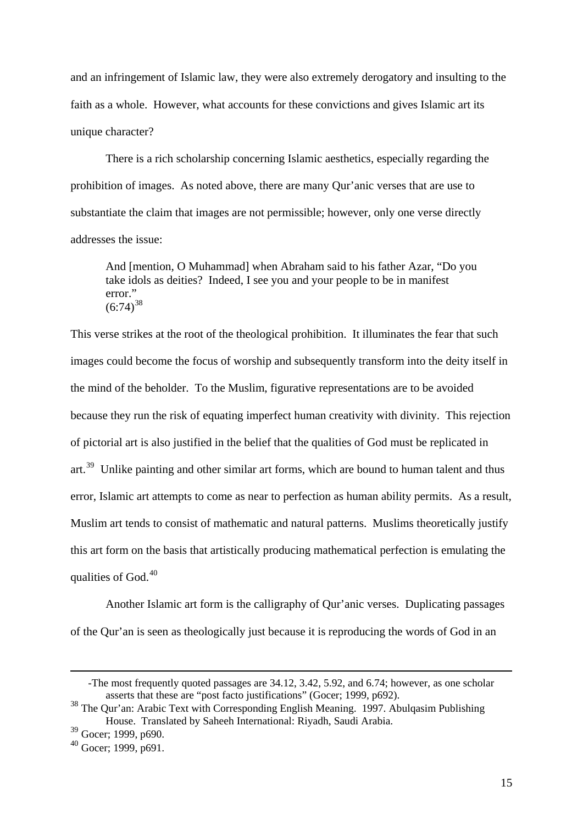and an infringement of Islamic law, they were also extremely derogatory and insulting to the faith as a whole. However, what accounts for these convictions and gives Islamic art its unique character?

There is a rich scholarship concerning Islamic aesthetics, especially regarding the prohibition of images. As noted above, there are many Qur'anic verses that are use to substantiate the claim that images are not permissible; however, only one verse directly addresses the issue:

And [mention, O Muhammad] when Abraham said to his father Azar, "Do you take idols as deities? Indeed, I see you and your people to be in manifest error."  $(6:74)^{38}$  $(6:74)^{38}$  $(6:74)^{38}$ 

This verse strikes at the root of the theological prohibition. It illuminates the fear that such images could become the focus of worship and subsequently transform into the deity itself in the mind of the beholder. To the Muslim, figurative representations are to be avoided because they run the risk of equating imperfect human creativity with divinity. This rejection of pictorial art is also justified in the belief that the qualities of God must be replicated in art.<sup>[39](#page-15-1)</sup> Unlike painting and other similar art forms, which are bound to human talent and thus error, Islamic art attempts to come as near to perfection as human ability permits. As a result, Muslim art tends to consist of mathematic and natural patterns. Muslims theoretically justify this art form on the basis that artistically producing mathematical perfection is emulating the qualities of God.<sup>[40](#page-15-2)</sup>

Another Islamic art form is the calligraphy of Qur'anic verses. Duplicating passages of the Qur'an is seen as theologically just because it is reproducing the words of God in an

<sup>-</sup>The most frequently quoted passages are 34.12, 3.42, 5.92, and 6.74; however, as one scholar asserts that these are "post facto justifications" (Gocer; 1999, p692).

<span id="page-15-0"></span><sup>38</sup> The Qur'an: Arabic Text with Corresponding English Meaning. 1997. Abulqasim Publishing House. Translated by Saheeh International: Riyadh, Saudi Arabia.

<span id="page-15-1"></span><sup>39</sup> Gocer; 1999, p690.

<span id="page-15-2"></span> $40$  Gocer; 1999, p691.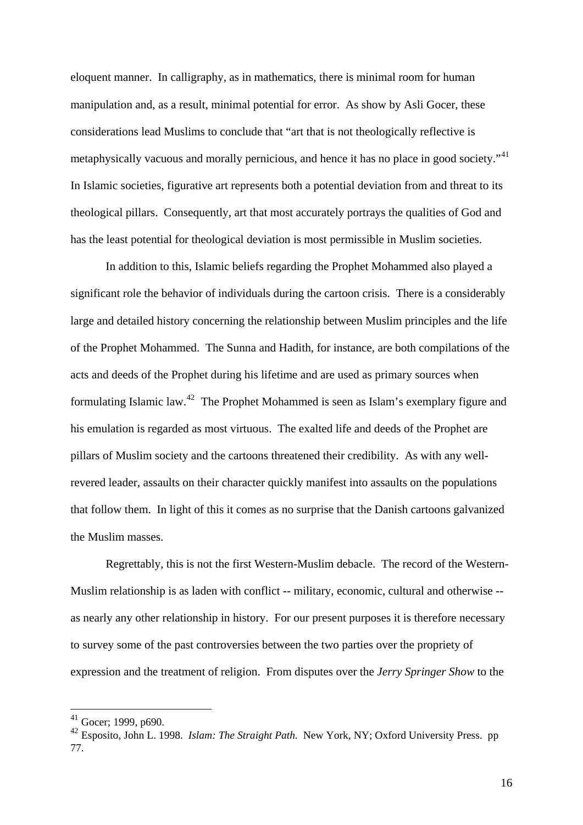eloquent manner. In calligraphy, as in mathematics, there is minimal room for human manipulation and, as a result, minimal potential for error. As show by Asli Gocer, these considerations lead Muslims to conclude that "art that is not theologically reflective is metaphysically vacuous and morally pernicious, and hence it has no place in good society."<sup>[41](#page-16-0)</sup> In Islamic societies, figurative art represents both a potential deviation from and threat to its theological pillars. Consequently, art that most accurately portrays the qualities of God and has the least potential for theological deviation is most permissible in Muslim societies.

 In addition to this, Islamic beliefs regarding the Prophet Mohammed also played a significant role the behavior of individuals during the cartoon crisis. There is a considerably large and detailed history concerning the relationship between Muslim principles and the life of the Prophet Mohammed. The Sunna and Hadith, for instance, are both compilations of the acts and deeds of the Prophet during his lifetime and are used as primary sources when formulating Islamic law.[42](#page-16-1) The Prophet Mohammed is seen as Islam's exemplary figure and his emulation is regarded as most virtuous. The exalted life and deeds of the Prophet are pillars of Muslim society and the cartoons threatened their credibility. As with any wellrevered leader, assaults on their character quickly manifest into assaults on the populations that follow them. In light of this it comes as no surprise that the Danish cartoons galvanized the Muslim masses.

Regrettably, this is not the first Western-Muslim debacle. The record of the Western-Muslim relationship is as laden with conflict -- military, economic, cultural and otherwise - as nearly any other relationship in history. For our present purposes it is therefore necessary to survey some of the past controversies between the two parties over the propriety of expression and the treatment of religion. From disputes over the *Jerry Springer Show* to the

 $41$  Gocer; 1999, p690.

<span id="page-16-1"></span><span id="page-16-0"></span><sup>42</sup> Esposito, John L. 1998. *Islam: The Straight Path.* New York, NY; Oxford University Press. pp 77.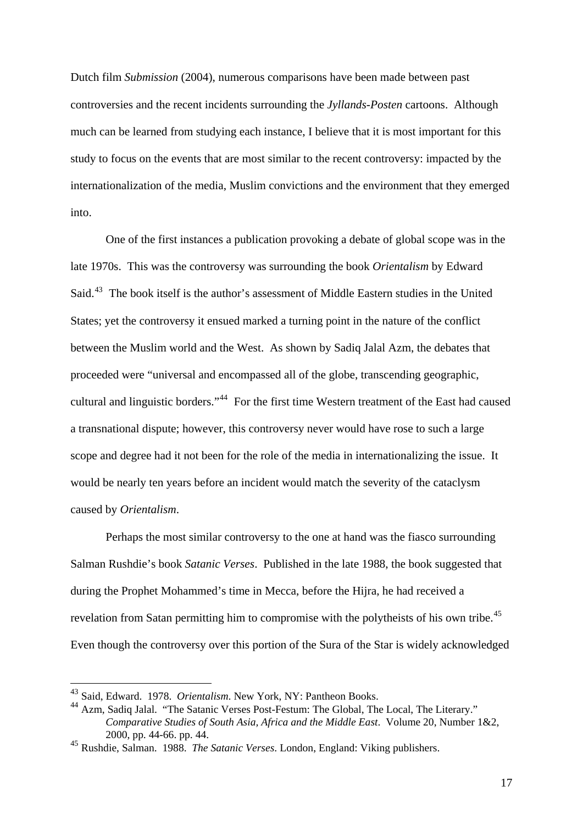Dutch film *Submission* (2004), numerous comparisons have been made between past controversies and the recent incidents surrounding the *Jyllands-Posten* cartoons. Although much can be learned from studying each instance, I believe that it is most important for this study to focus on the events that are most similar to the recent controversy: impacted by the internationalization of the media, Muslim convictions and the environment that they emerged into.

One of the first instances a publication provoking a debate of global scope was in the late 1970s. This was the controversy was surrounding the book *Orientalism* by Edward Said.<sup>[43](#page-17-0)</sup> The book itself is the author's assessment of Middle Eastern studies in the United States; yet the controversy it ensued marked a turning point in the nature of the conflict between the Muslim world and the West. As shown by Sadiq Jalal Azm, the debates that proceeded were "universal and encompassed all of the globe, transcending geographic, cultural and linguistic borders."[44](#page-17-1) For the first time Western treatment of the East had caused a transnational dispute; however, this controversy never would have rose to such a large scope and degree had it not been for the role of the media in internationalizing the issue. It would be nearly ten years before an incident would match the severity of the cataclysm caused by *Orientalism*.

Perhaps the most similar controversy to the one at hand was the fiasco surrounding Salman Rushdie's book *Satanic Verses*. Published in the late 1988, the book suggested that during the Prophet Mohammed's time in Mecca, before the Hijra, he had received a revelation from Satan permitting him to compromise with the polytheists of his own tribe.<sup>[45](#page-17-2)</sup> Even though the controversy over this portion of the Sura of the Star is widely acknowledged

<span id="page-17-0"></span><sup>43</sup> Said, Edward. 1978. *Orientalism*. New York, NY: Pantheon Books.

<span id="page-17-1"></span><sup>44</sup> Azm, Sadiq Jalal. "The Satanic Verses Post-Festum: The Global, The Local, The Literary." *Comparative Studies of South Asia, Africa and the Middle East*. Volume 20, Number 1&2, 2000, pp. 44-66. pp. 44.

<span id="page-17-2"></span><sup>45</sup> Rushdie, Salman. 1988. *The Satanic Verses*. London, England: Viking publishers.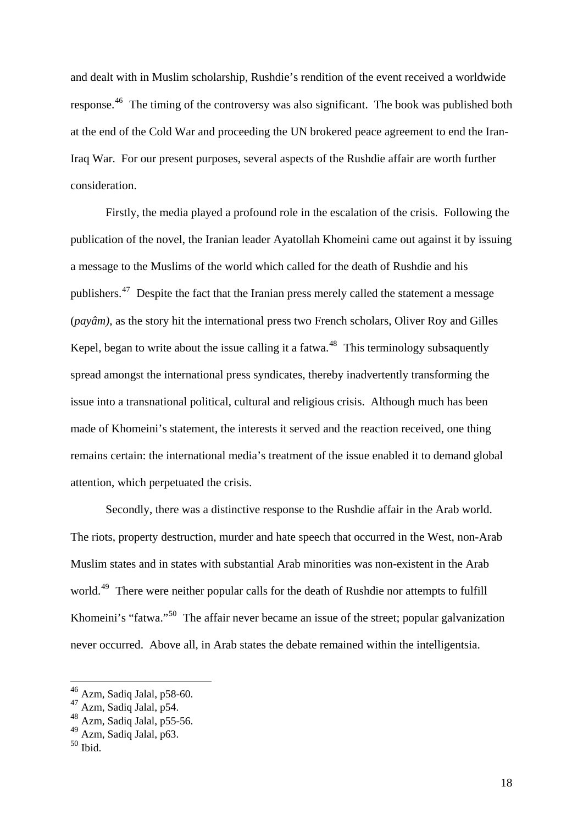and dealt with in Muslim scholarship, Rushdie's rendition of the event received a worldwide response.[46](#page-18-0) The timing of the controversy was also significant. The book was published both at the end of the Cold War and proceeding the UN brokered peace agreement to end the Iran-Iraq War. For our present purposes, several aspects of the Rushdie affair are worth further consideration.

Firstly, the media played a profound role in the escalation of the crisis. Following the publication of the novel, the Iranian leader Ayatollah Khomeini came out against it by issuing a message to the Muslims of the world which called for the death of Rushdie and his publishers.<sup>[47](#page-18-1)</sup> Despite the fact that the Iranian press merely called the statement a message (*payâm)*, as the story hit the international press two French scholars, Oliver Roy and Gilles Kepel, began to write about the issue calling it a fatwa.<sup>[48](#page-18-2)</sup> This terminology subsaquently spread amongst the international press syndicates, thereby inadvertently transforming the issue into a transnational political, cultural and religious crisis. Although much has been made of Khomeini's statement, the interests it served and the reaction received, one thing remains certain: the international media's treatment of the issue enabled it to demand global attention, which perpetuated the crisis.

Secondly, there was a distinctive response to the Rushdie affair in the Arab world. The riots, property destruction, murder and hate speech that occurred in the West, non-Arab Muslim states and in states with substantial Arab minorities was non-existent in the Arab world.<sup>[49](#page-18-3)</sup> There were neither popular calls for the death of Rushdie nor attempts to fulfill Khomeini's "fatwa."<sup>[50](#page-18-4)</sup> The affair never became an issue of the street; popular galvanization never occurred. Above all, in Arab states the debate remained within the intelligentsia.

<u>.</u>

 $46$  Azm, Sadiq Jalal, p58-60.

<span id="page-18-1"></span><span id="page-18-0"></span> $47$  Azm, Sadiq Jalal, p54.

<sup>48</sup> Azm, Sadiq Jalal, p55-56.

<span id="page-18-3"></span><span id="page-18-2"></span> $^{49}$  Azm, Sadiq Jalal, p63.

<span id="page-18-4"></span> $50$  Ibid.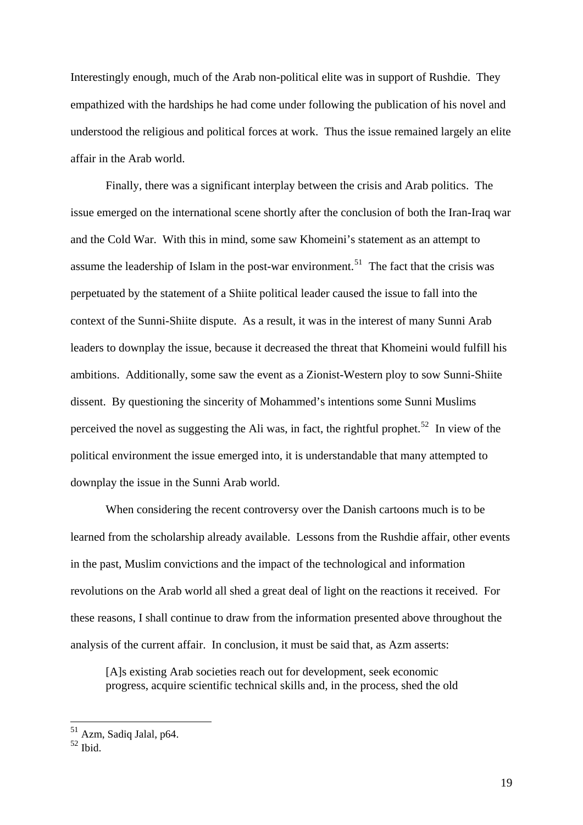Interestingly enough, much of the Arab non-political elite was in support of Rushdie. They empathized with the hardships he had come under following the publication of his novel and understood the religious and political forces at work. Thus the issue remained largely an elite affair in the Arab world.

Finally, there was a significant interplay between the crisis and Arab politics. The issue emerged on the international scene shortly after the conclusion of both the Iran-Iraq war and the Cold War. With this in mind, some saw Khomeini's statement as an attempt to assume the leadership of Islam in the post-war environment.<sup>[51](#page-19-0)</sup> The fact that the crisis was perpetuated by the statement of a Shiite political leader caused the issue to fall into the context of the Sunni-Shiite dispute. As a result, it was in the interest of many Sunni Arab leaders to downplay the issue, because it decreased the threat that Khomeini would fulfill his ambitions. Additionally, some saw the event as a Zionist-Western ploy to sow Sunni-Shiite dissent. By questioning the sincerity of Mohammed's intentions some Sunni Muslims perceived the novel as suggesting the Ali was, in fact, the rightful prophet.<sup>[52](#page-19-1)</sup> In view of the political environment the issue emerged into, it is understandable that many attempted to downplay the issue in the Sunni Arab world.

When considering the recent controversy over the Danish cartoons much is to be learned from the scholarship already available. Lessons from the Rushdie affair, other events in the past, Muslim convictions and the impact of the technological and information revolutions on the Arab world all shed a great deal of light on the reactions it received. For these reasons, I shall continue to draw from the information presented above throughout the analysis of the current affair. In conclusion, it must be said that, as Azm asserts:

[A]s existing Arab societies reach out for development, seek economic progress, acquire scientific technical skills and, in the process, shed the old

<span id="page-19-0"></span><sup>&</sup>lt;sup>51</sup> Azm, Sadiq Jalal, p64.

<span id="page-19-1"></span> $52$  Ibid.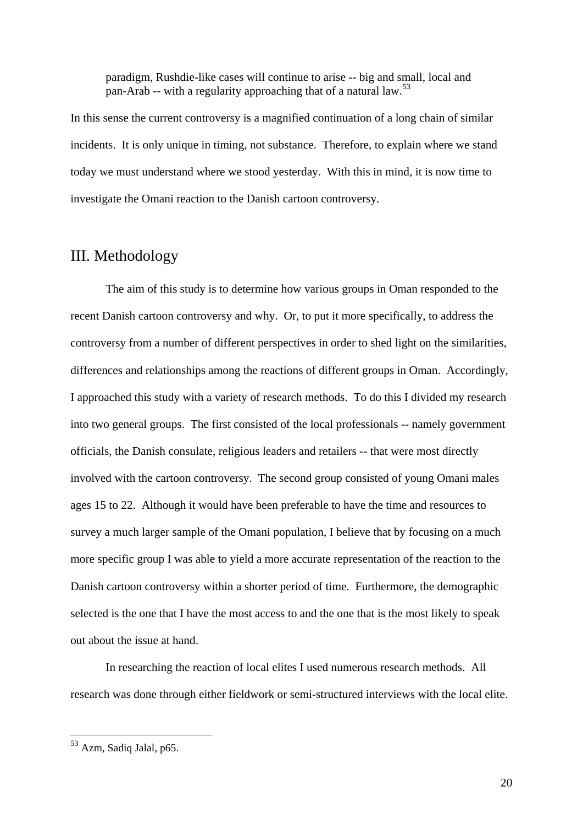paradigm, Rushdie-like cases will continue to arise -- big and small, local and pan-Arab -- with a regularity approaching that of a natural law.<sup>[53](#page-20-0)</sup>

In this sense the current controversy is a magnified continuation of a long chain of similar incidents. It is only unique in timing, not substance. Therefore, to explain where we stand today we must understand where we stood yesterday. With this in mind, it is now time to investigate the Omani reaction to the Danish cartoon controversy.

# III. Methodology

 The aim of this study is to determine how various groups in Oman responded to the recent Danish cartoon controversy and why. Or, to put it more specifically, to address the controversy from a number of different perspectives in order to shed light on the similarities, differences and relationships among the reactions of different groups in Oman. Accordingly, I approached this study with a variety of research methods. To do this I divided my research into two general groups. The first consisted of the local professionals -- namely government officials, the Danish consulate, religious leaders and retailers -- that were most directly involved with the cartoon controversy. The second group consisted of young Omani males ages 15 to 22. Although it would have been preferable to have the time and resources to survey a much larger sample of the Omani population, I believe that by focusing on a much more specific group I was able to yield a more accurate representation of the reaction to the Danish cartoon controversy within a shorter period of time. Furthermore, the demographic selected is the one that I have the most access to and the one that is the most likely to speak out about the issue at hand.

 In researching the reaction of local elites I used numerous research methods. All research was done through either fieldwork or semi-structured interviews with the local elite.

<span id="page-20-0"></span><sup>53</sup> Azm, Sadiq Jalal, p65.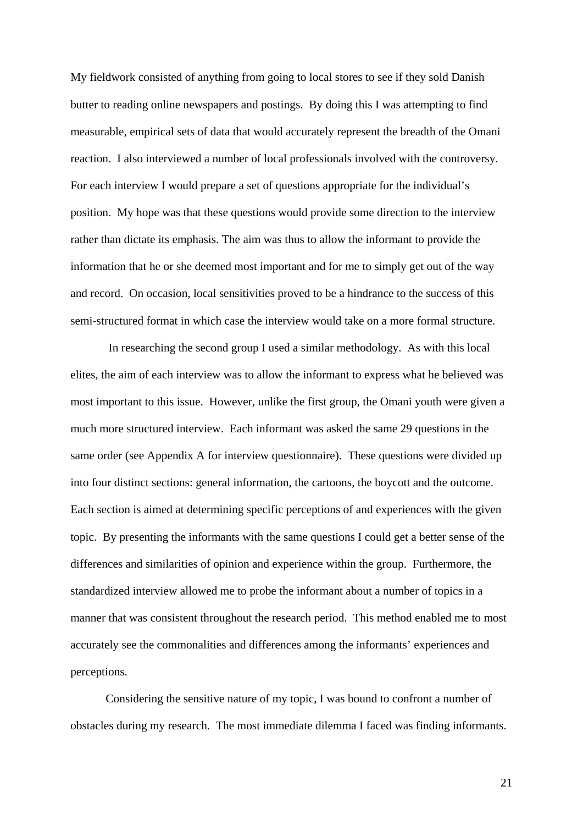My fieldwork consisted of anything from going to local stores to see if they sold Danish butter to reading online newspapers and postings. By doing this I was attempting to find measurable, empirical sets of data that would accurately represent the breadth of the Omani reaction. I also interviewed a number of local professionals involved with the controversy. For each interview I would prepare a set of questions appropriate for the individual's position. My hope was that these questions would provide some direction to the interview rather than dictate its emphasis. The aim was thus to allow the informant to provide the information that he or she deemed most important and for me to simply get out of the way and record. On occasion, local sensitivities proved to be a hindrance to the success of this semi-structured format in which case the interview would take on a more formal structure.

 In researching the second group I used a similar methodology. As with this local elites, the aim of each interview was to allow the informant to express what he believed was most important to this issue. However, unlike the first group, the Omani youth were given a much more structured interview. Each informant was asked the same 29 questions in the same order (see Appendix A for interview questionnaire). These questions were divided up into four distinct sections: general information, the cartoons, the boycott and the outcome. Each section is aimed at determining specific perceptions of and experiences with the given topic. By presenting the informants with the same questions I could get a better sense of the differences and similarities of opinion and experience within the group. Furthermore, the standardized interview allowed me to probe the informant about a number of topics in a manner that was consistent throughout the research period. This method enabled me to most accurately see the commonalities and differences among the informants' experiences and perceptions.

 Considering the sensitive nature of my topic, I was bound to confront a number of obstacles during my research. The most immediate dilemma I faced was finding informants.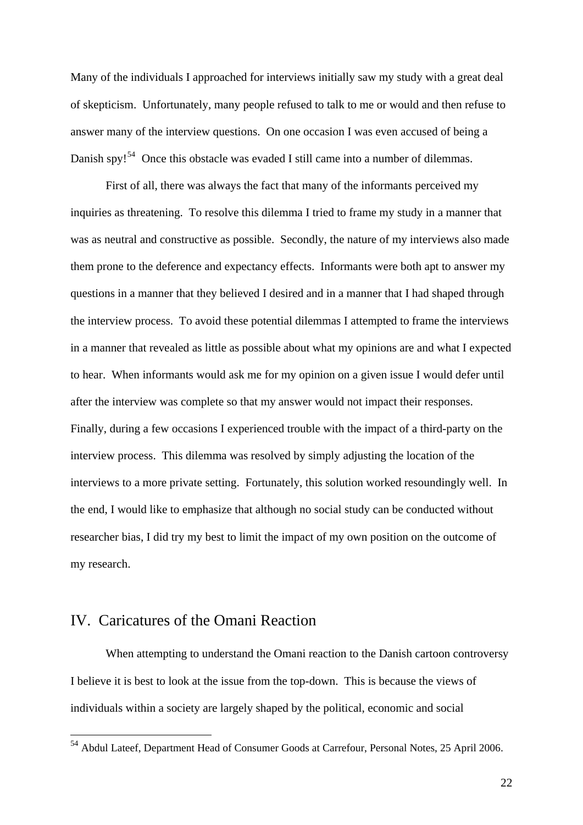Many of the individuals I approached for interviews initially saw my study with a great deal of skepticism. Unfortunately, many people refused to talk to me or would and then refuse to answer many of the interview questions. On one occasion I was even accused of being a Danish spy!<sup>[54](#page-22-0)</sup> Once this obstacle was evaded I still came into a number of dilemmas.

First of all, there was always the fact that many of the informants perceived my inquiries as threatening. To resolve this dilemma I tried to frame my study in a manner that was as neutral and constructive as possible. Secondly, the nature of my interviews also made them prone to the deference and expectancy effects. Informants were both apt to answer my questions in a manner that they believed I desired and in a manner that I had shaped through the interview process. To avoid these potential dilemmas I attempted to frame the interviews in a manner that revealed as little as possible about what my opinions are and what I expected to hear. When informants would ask me for my opinion on a given issue I would defer until after the interview was complete so that my answer would not impact their responses. Finally, during a few occasions I experienced trouble with the impact of a third-party on the interview process. This dilemma was resolved by simply adjusting the location of the interviews to a more private setting. Fortunately, this solution worked resoundingly well. In the end, I would like to emphasize that although no social study can be conducted without researcher bias, I did try my best to limit the impact of my own position on the outcome of my research.

## IV. Caricatures of the Omani Reaction

1

When attempting to understand the Omani reaction to the Danish cartoon controversy I believe it is best to look at the issue from the top-down. This is because the views of individuals within a society are largely shaped by the political, economic and social

<span id="page-22-0"></span><sup>&</sup>lt;sup>54</sup> Abdul Lateef, Department Head of Consumer Goods at Carrefour, Personal Notes, 25 April 2006.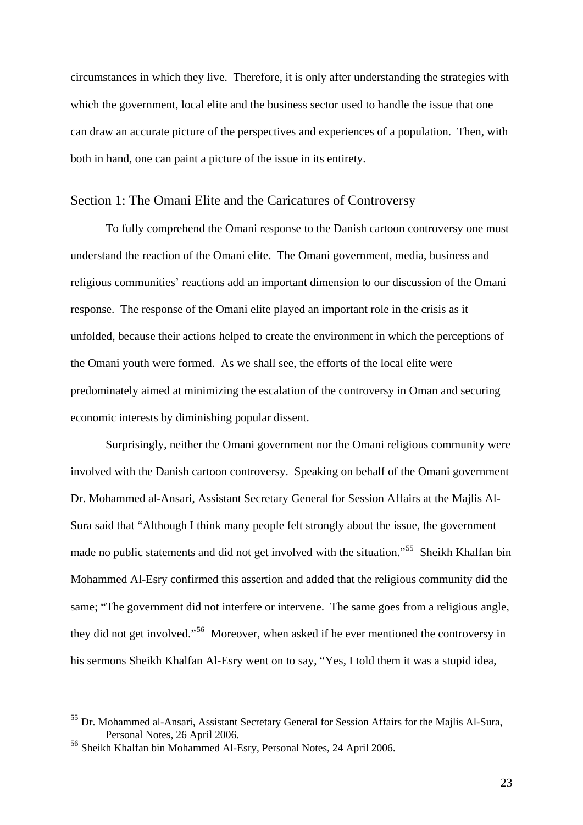circumstances in which they live. Therefore, it is only after understanding the strategies with which the government, local elite and the business sector used to handle the issue that one can draw an accurate picture of the perspectives and experiences of a population. Then, with both in hand, one can paint a picture of the issue in its entirety.

### Section 1: The Omani Elite and the Caricatures of Controversy

 To fully comprehend the Omani response to the Danish cartoon controversy one must understand the reaction of the Omani elite. The Omani government, media, business and religious communities' reactions add an important dimension to our discussion of the Omani response. The response of the Omani elite played an important role in the crisis as it unfolded, because their actions helped to create the environment in which the perceptions of the Omani youth were formed. As we shall see, the efforts of the local elite were predominately aimed at minimizing the escalation of the controversy in Oman and securing economic interests by diminishing popular dissent.

 Surprisingly, neither the Omani government nor the Omani religious community were involved with the Danish cartoon controversy. Speaking on behalf of the Omani government Dr. Mohammed al-Ansari, Assistant Secretary General for Session Affairs at the Majlis Al-Sura said that "Although I think many people felt strongly about the issue, the government made no public statements and did not get involved with the situation."<sup>[55](#page-23-0)</sup> Sheikh Khalfan bin Mohammed Al-Esry confirmed this assertion and added that the religious community did the same; "The government did not interfere or intervene. The same goes from a religious angle, they did not get involved."[56](#page-23-1) Moreover, when asked if he ever mentioned the controversy in his sermons Sheikh Khalfan Al-Esry went on to say, "Yes, I told them it was a stupid idea,

<span id="page-23-0"></span><sup>&</sup>lt;sup>55</sup> Dr. Mohammed al-Ansari, Assistant Secretary General for Session Affairs for the Majlis Al-Sura, Personal Notes, 26 April 2006.

<span id="page-23-1"></span><sup>56</sup> Sheikh Khalfan bin Mohammed Al-Esry, Personal Notes, 24 April 2006.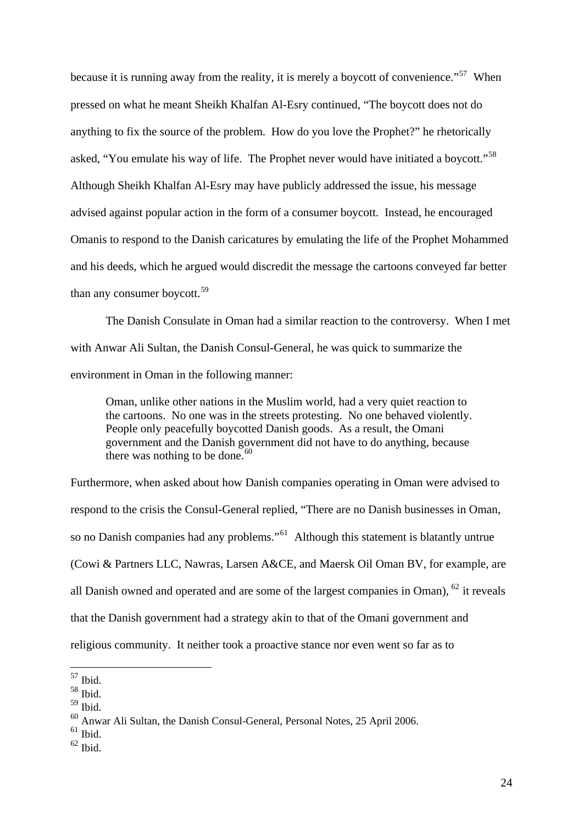because it is running away from the reality, it is merely a boycott of convenience."<sup>[57](#page-24-0)</sup> When pressed on what he meant Sheikh Khalfan Al-Esry continued, "The boycott does not do anything to fix the source of the problem. How do you love the Prophet?" he rhetorically asked, "You emulate his way of life. The Prophet never would have initiated a boycott."<sup>[58](#page-24-1)</sup> Although Sheikh Khalfan Al-Esry may have publicly addressed the issue, his message advised against popular action in the form of a consumer boycott. Instead, he encouraged Omanis to respond to the Danish caricatures by emulating the life of the Prophet Mohammed and his deeds, which he argued would discredit the message the cartoons conveyed far better than any consumer boycott. $59$ 

 The Danish Consulate in Oman had a similar reaction to the controversy. When I met with Anwar Ali Sultan, the Danish Consul-General, he was quick to summarize the environment in Oman in the following manner:

Oman, unlike other nations in the Muslim world, had a very quiet reaction to the cartoons. No one was in the streets protesting. No one behaved violently. People only peacefully boycotted Danish goods. As a result, the Omani government and the Danish government did not have to do anything, because there was nothing to be done. $60$ 

Furthermore, when asked about how Danish companies operating in Oman were advised to respond to the crisis the Consul-General replied, "There are no Danish businesses in Oman, so no Danish companies had any problems."<sup>[61](#page-24-4)</sup> Although this statement is blatantly untrue (Cowi & Partners LLC, Nawras, Larsen A&CE, and Maersk Oil Oman BV, for example, are all Danish owned and operated and are some of the largest companies in Oman),  $^{62}$  $^{62}$  $^{62}$  it reveals that the Danish government had a strategy akin to that of the Omani government and religious community. It neither took a proactive stance nor even went so far as to

1

<span id="page-24-5"></span> $62$  Ibid.

<sup>57</sup> Ibid.

<span id="page-24-1"></span><span id="page-24-0"></span> $58$  Ibid.

<span id="page-24-2"></span><sup>59</sup> Ibid.

<span id="page-24-3"></span><sup>60</sup> Anwar Ali Sultan, the Danish Consul-General, Personal Notes, 25 April 2006.

<span id="page-24-4"></span> $61$  Ibid.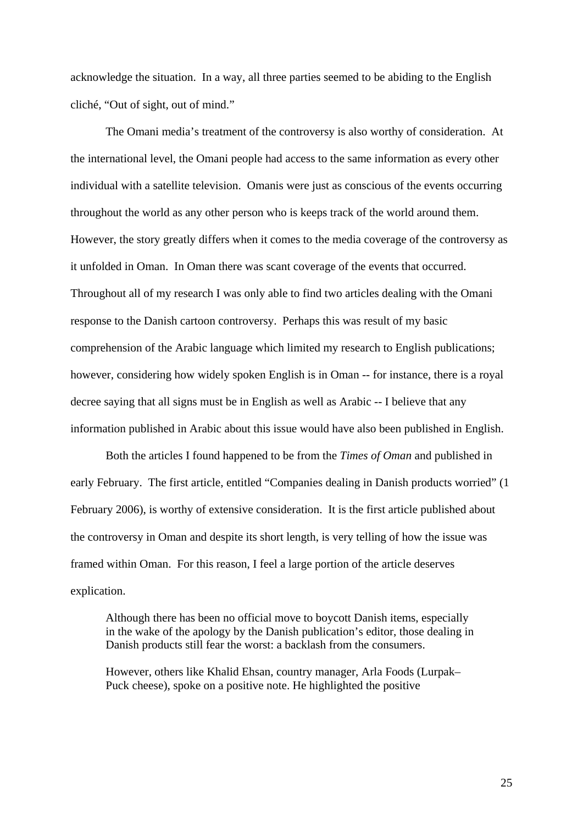acknowledge the situation. In a way, all three parties seemed to be abiding to the English cliché, "Out of sight, out of mind."

The Omani media's treatment of the controversy is also worthy of consideration. At the international level, the Omani people had access to the same information as every other individual with a satellite television. Omanis were just as conscious of the events occurring throughout the world as any other person who is keeps track of the world around them. However, the story greatly differs when it comes to the media coverage of the controversy as it unfolded in Oman. In Oman there was scant coverage of the events that occurred. Throughout all of my research I was only able to find two articles dealing with the Omani response to the Danish cartoon controversy. Perhaps this was result of my basic comprehension of the Arabic language which limited my research to English publications; however, considering how widely spoken English is in Oman -- for instance, there is a royal decree saying that all signs must be in English as well as Arabic -- I believe that any information published in Arabic about this issue would have also been published in English.

Both the articles I found happened to be from the *Times of Oman* and published in early February. The first article, entitled "Companies dealing in Danish products worried" (1 February 2006), is worthy of extensive consideration. It is the first article published about the controversy in Oman and despite its short length, is very telling of how the issue was framed within Oman. For this reason, I feel a large portion of the article deserves explication.

Although there has been no official move to boycott Danish items, especially in the wake of the apology by the Danish publication's editor, those dealing in Danish products still fear the worst: a backlash from the consumers.

However, others like Khalid Ehsan, country manager, Arla Foods (Lurpak– Puck cheese), spoke on a positive note. He highlighted the positive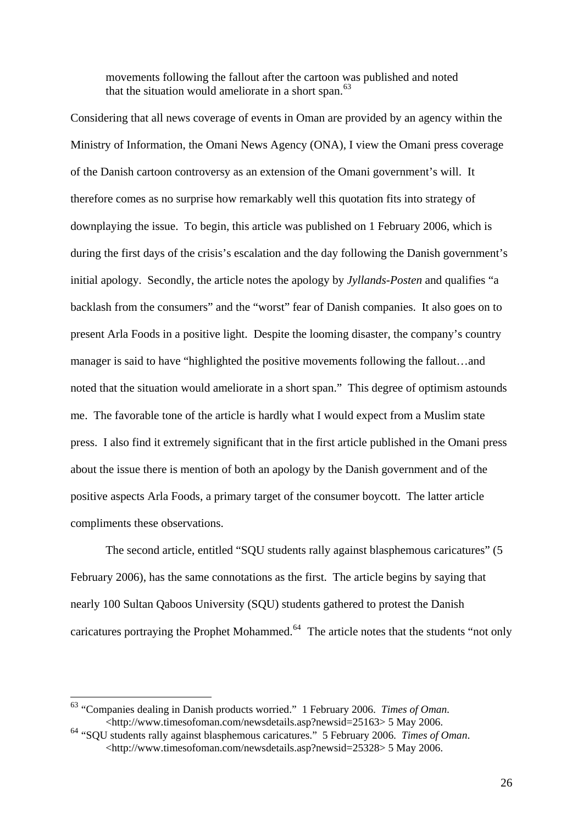movements following the fallout after the cartoon was published and noted that the situation would ameliorate in a short span. $63$ 

Considering that all news coverage of events in Oman are provided by an agency within the Ministry of Information, the Omani News Agency (ONA), I view the Omani press coverage of the Danish cartoon controversy as an extension of the Omani government's will. It therefore comes as no surprise how remarkably well this quotation fits into strategy of downplaying the issue. To begin, this article was published on 1 February 2006, which is during the first days of the crisis's escalation and the day following the Danish government's initial apology. Secondly, the article notes the apology by *Jyllands-Posten* and qualifies "a backlash from the consumers" and the "worst" fear of Danish companies. It also goes on to present Arla Foods in a positive light. Despite the looming disaster, the company's country manager is said to have "highlighted the positive movements following the fallout…and noted that the situation would ameliorate in a short span." This degree of optimism astounds me. The favorable tone of the article is hardly what I would expect from a Muslim state press. I also find it extremely significant that in the first article published in the Omani press about the issue there is mention of both an apology by the Danish government and of the positive aspects Arla Foods, a primary target of the consumer boycott. The latter article compliments these observations.

The second article, entitled "SQU students rally against blasphemous caricatures" (5 February 2006), has the same connotations as the first. The article begins by saying that nearly 100 Sultan Qaboos University (SQU) students gathered to protest the Danish caricatures portraying the Prophet Mohammed.<sup>[64](#page-26-1)</sup> The article notes that the students "not only

<u>.</u>

<span id="page-26-0"></span><sup>63</sup> "Companies dealing in Danish products worried." 1 February 2006. *Times of Oman.*  <http://www.timesofoman.com/newsdetails.asp?newsid=25163> 5 May 2006.

<span id="page-26-1"></span><sup>64</sup> "SQU students rally against blasphemous caricatures." 5 February 2006. *Times of Oman*. <http://www.timesofoman.com/newsdetails.asp?newsid=25328> 5 May 2006.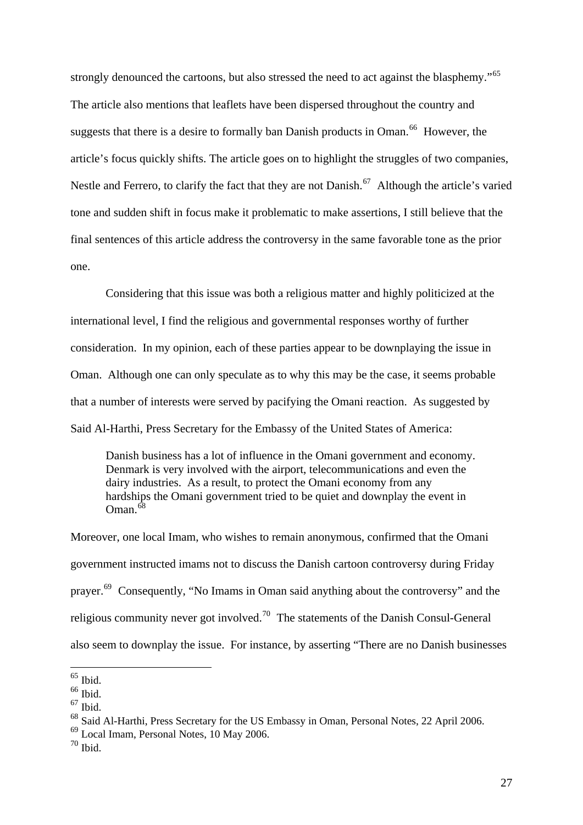strongly denounced the cartoons, but also stressed the need to act against the blasphemy."<sup>[65](#page-27-0)</sup> The article also mentions that leaflets have been dispersed throughout the country and suggests that there is a desire to formally ban Danish products in Oman.<sup>[66](#page-27-1)</sup> However, the article's focus quickly shifts. The article goes on to highlight the struggles of two companies, Nestle and Ferrero, to clarify the fact that they are not Danish.<sup>[67](#page-27-2)</sup> Although the article's varied tone and sudden shift in focus make it problematic to make assertions, I still believe that the final sentences of this article address the controversy in the same favorable tone as the prior one.

Considering that this issue was both a religious matter and highly politicized at the international level, I find the religious and governmental responses worthy of further consideration. In my opinion, each of these parties appear to be downplaying the issue in Oman. Although one can only speculate as to why this may be the case, it seems probable that a number of interests were served by pacifying the Omani reaction. As suggested by Said Al-Harthi, Press Secretary for the Embassy of the United States of America:

Danish business has a lot of influence in the Omani government and economy. Denmark is very involved with the airport, telecommunications and even the dairy industries. As a result, to protect the Omani economy from any hardships the Omani government tried to be quiet and downplay the event in  $O$ man.<sup>[68](#page-27-3)</sup>

Moreover, one local Imam, who wishes to remain anonymous, confirmed that the Omani government instructed imams not to discuss the Danish cartoon controversy during Friday prayer.<sup>[69](#page-27-4)</sup> Consequently, "No Imams in Oman said anything about the controversy" and the religious community never got involved.<sup>[70](#page-27-5)</sup> The statements of the Danish Consul-General also seem to downplay the issue. For instance, by asserting "There are no Danish businesses

 $65$  Ibid.

<span id="page-27-1"></span><span id="page-27-0"></span> $66$  Ibid.

<span id="page-27-2"></span> $67$  Ibid.

<span id="page-27-3"></span><sup>&</sup>lt;sup>68</sup> Said Al-Harthi, Press Secretary for the US Embassy in Oman, Personal Notes, 22 April 2006.

<span id="page-27-4"></span><sup>69</sup> Local Imam, Personal Notes, 10 May 2006.

<span id="page-27-5"></span> $70$  Ibid.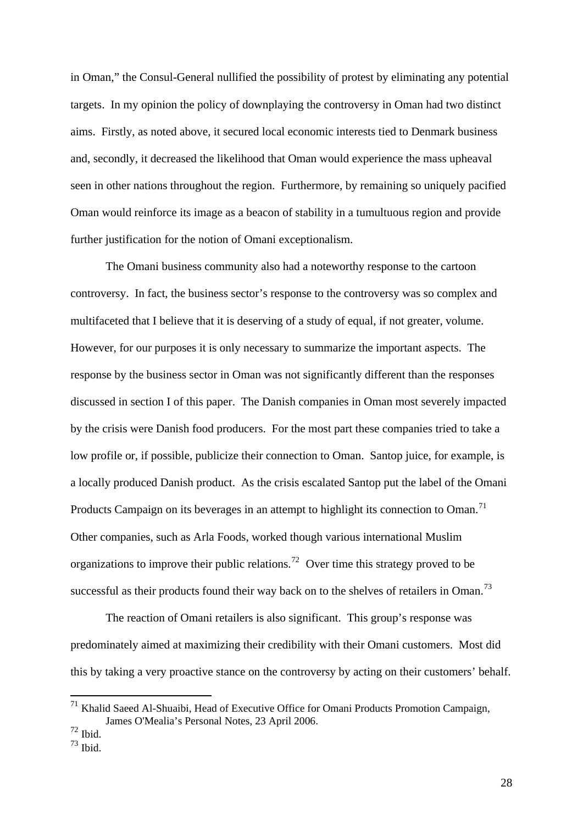in Oman," the Consul-General nullified the possibility of protest by eliminating any potential targets. In my opinion the policy of downplaying the controversy in Oman had two distinct aims. Firstly, as noted above, it secured local economic interests tied to Denmark business and, secondly, it decreased the likelihood that Oman would experience the mass upheaval seen in other nations throughout the region. Furthermore, by remaining so uniquely pacified Oman would reinforce its image as a beacon of stability in a tumultuous region and provide further justification for the notion of Omani exceptionalism.

The Omani business community also had a noteworthy response to the cartoon controversy. In fact, the business sector's response to the controversy was so complex and multifaceted that I believe that it is deserving of a study of equal, if not greater, volume. However, for our purposes it is only necessary to summarize the important aspects. The response by the business sector in Oman was not significantly different than the responses discussed in section I of this paper. The Danish companies in Oman most severely impacted by the crisis were Danish food producers. For the most part these companies tried to take a low profile or, if possible, publicize their connection to Oman. Santop juice, for example, is a locally produced Danish product. As the crisis escalated Santop put the label of the Omani Products Campaign on its beverages in an attempt to highlight its connection to Oman.<sup>[71](#page-28-0)</sup> Other companies, such as Arla Foods, worked though various international Muslim organizations to improve their public relations.<sup>[72](#page-28-1)</sup> Over time this strategy proved to be successful as their products found their way back on to the shelves of retailers in Oman.<sup>73</sup>

The reaction of Omani retailers is also significant. This group's response was predominately aimed at maximizing their credibility with their Omani customers. Most did this by taking a very proactive stance on the controversy by acting on their customers' behalf.

<span id="page-28-0"></span><sup>71</sup> Khalid Saeed Al-Shuaibi, Head of Executive Office for Omani Products Promotion Campaign, James O'Mealia's Personal Notes, 23 April 2006.

<span id="page-28-1"></span> $^{72}$  Ibid.

<span id="page-28-2"></span><sup>73</sup> Ibid.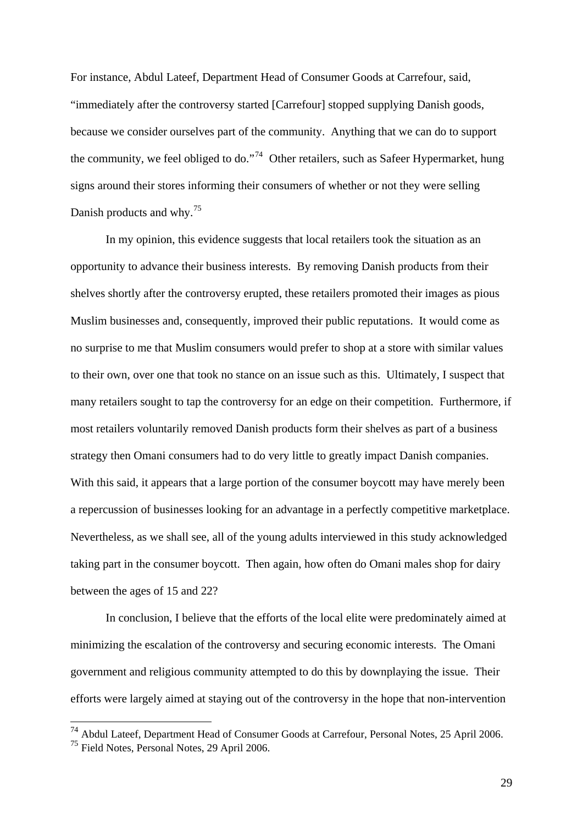For instance, Abdul Lateef, Department Head of Consumer Goods at Carrefour, said, "immediately after the controversy started [Carrefour] stopped supplying Danish goods, because we consider ourselves part of the community. Anything that we can do to support the community, we feel obliged to do."<sup>[74](#page-29-0)</sup> Other retailers, such as Safeer Hypermarket, hung signs around their stores informing their consumers of whether or not they were selling Danish products and why.<sup>[75](#page-29-1)</sup>

In my opinion, this evidence suggests that local retailers took the situation as an opportunity to advance their business interests. By removing Danish products from their shelves shortly after the controversy erupted, these retailers promoted their images as pious Muslim businesses and, consequently, improved their public reputations. It would come as no surprise to me that Muslim consumers would prefer to shop at a store with similar values to their own, over one that took no stance on an issue such as this. Ultimately, I suspect that many retailers sought to tap the controversy for an edge on their competition. Furthermore, if most retailers voluntarily removed Danish products form their shelves as part of a business strategy then Omani consumers had to do very little to greatly impact Danish companies. With this said, it appears that a large portion of the consumer boycott may have merely been a repercussion of businesses looking for an advantage in a perfectly competitive marketplace. Nevertheless, as we shall see, all of the young adults interviewed in this study acknowledged taking part in the consumer boycott. Then again, how often do Omani males shop for dairy between the ages of 15 and 22?

 In conclusion, I believe that the efforts of the local elite were predominately aimed at minimizing the escalation of the controversy and securing economic interests. The Omani government and religious community attempted to do this by downplaying the issue. Their efforts were largely aimed at staying out of the controversy in the hope that non-intervention

<span id="page-29-0"></span><sup>&</sup>lt;sup>74</sup> Abdul Lateef, Department Head of Consumer Goods at Carrefour, Personal Notes, 25 April 2006.

<span id="page-29-1"></span><sup>75</sup> Field Notes, Personal Notes, 29 April 2006.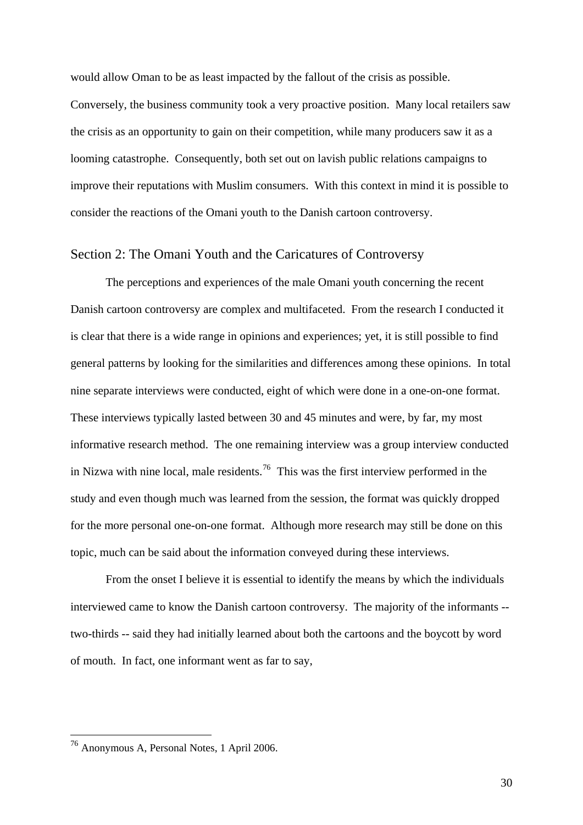would allow Oman to be as least impacted by the fallout of the crisis as possible.

Conversely, the business community took a very proactive position. Many local retailers saw the crisis as an opportunity to gain on their competition, while many producers saw it as a looming catastrophe. Consequently, both set out on lavish public relations campaigns to improve their reputations with Muslim consumers. With this context in mind it is possible to consider the reactions of the Omani youth to the Danish cartoon controversy.

## Section 2: The Omani Youth and the Caricatures of Controversy

 The perceptions and experiences of the male Omani youth concerning the recent Danish cartoon controversy are complex and multifaceted. From the research I conducted it is clear that there is a wide range in opinions and experiences; yet, it is still possible to find general patterns by looking for the similarities and differences among these opinions. In total nine separate interviews were conducted, eight of which were done in a one-on-one format. These interviews typically lasted between 30 and 45 minutes and were, by far, my most informative research method. The one remaining interview was a group interview conducted in Nizwa with nine local, male residents.<sup>[76](#page-30-0)</sup> This was the first interview performed in the study and even though much was learned from the session, the format was quickly dropped for the more personal one-on-one format. Although more research may still be done on this topic, much can be said about the information conveyed during these interviews.

From the onset I believe it is essential to identify the means by which the individuals interviewed came to know the Danish cartoon controversy. The majority of the informants - two-thirds -- said they had initially learned about both the cartoons and the boycott by word of mouth. In fact, one informant went as far to say,

<span id="page-30-0"></span><sup>76</sup> Anonymous A, Personal Notes, 1 April 2006.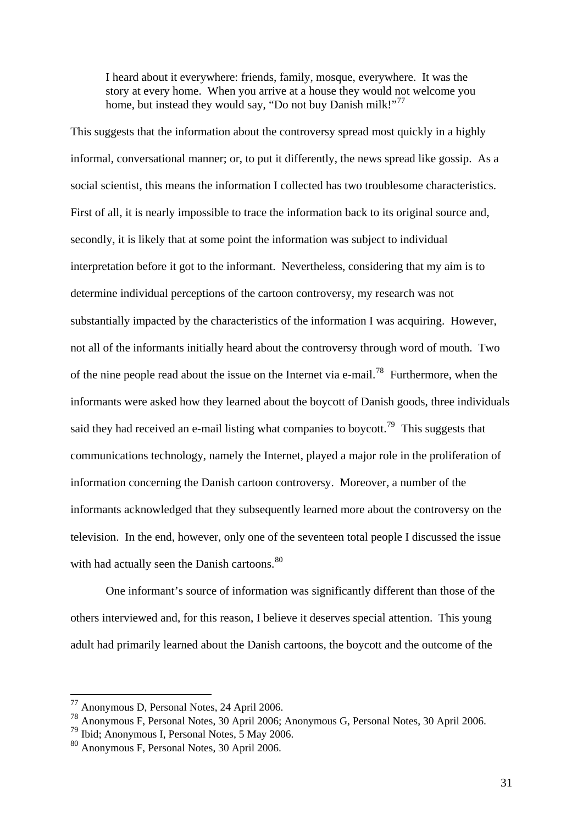I heard about it everywhere: friends, family, mosque, everywhere. It was the story at every home. When you arrive at a house they would not welcome you home, but instead they would say, "Do not buy Danish milk!"<sup>[77](#page-31-0)</sup>

This suggests that the information about the controversy spread most quickly in a highly informal, conversational manner; or, to put it differently, the news spread like gossip. As a social scientist, this means the information I collected has two troublesome characteristics. First of all, it is nearly impossible to trace the information back to its original source and, secondly, it is likely that at some point the information was subject to individual interpretation before it got to the informant. Nevertheless, considering that my aim is to determine individual perceptions of the cartoon controversy, my research was not substantially impacted by the characteristics of the information I was acquiring. However, not all of the informants initially heard about the controversy through word of mouth. Two of the nine people read about the issue on the Internet via e-mail.[78](#page-31-1) Furthermore, when the informants were asked how they learned about the boycott of Danish goods, three individuals said they had received an e-mail listing what companies to boycott.<sup>[79](#page-31-2)</sup> This suggests that communications technology, namely the Internet, played a major role in the proliferation of information concerning the Danish cartoon controversy. Moreover, a number of the informants acknowledged that they subsequently learned more about the controversy on the television. In the end, however, only one of the seventeen total people I discussed the issue with had actually seen the Danish cartoons.<sup>[80](#page-31-3)</sup>

 One informant's source of information was significantly different than those of the others interviewed and, for this reason, I believe it deserves special attention. This young adult had primarily learned about the Danish cartoons, the boycott and the outcome of the

<sup>77</sup> Anonymous D, Personal Notes, 24 April 2006.

<span id="page-31-1"></span><span id="page-31-0"></span><sup>78</sup> Anonymous F, Personal Notes, 30 April 2006; Anonymous G, Personal Notes, 30 April 2006.

<span id="page-31-2"></span><sup>79</sup> Ibid; Anonymous I, Personal Notes, 5 May 2006.

<span id="page-31-3"></span><sup>80</sup> Anonymous F, Personal Notes, 30 April 2006.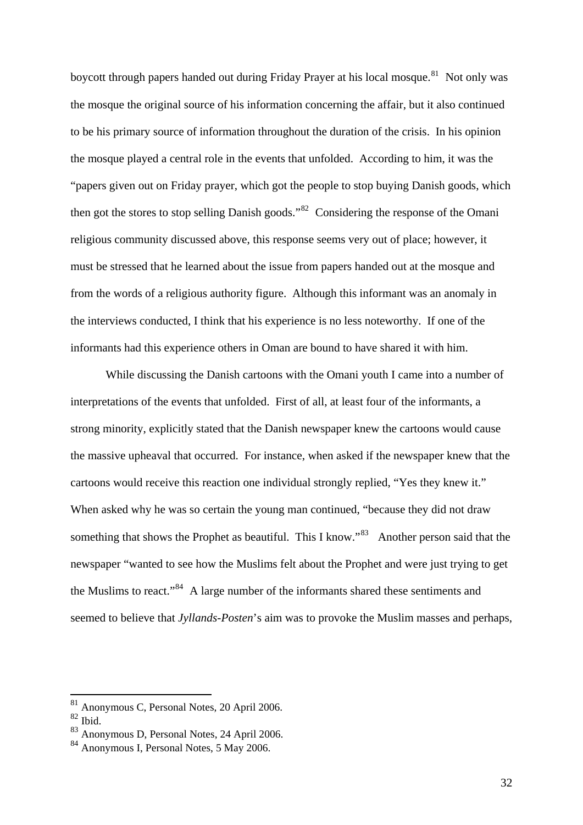boycott through papers handed out during Friday Prayer at his local mosque.<sup>[81](#page-32-0)</sup> Not only was the mosque the original source of his information concerning the affair, but it also continued to be his primary source of information throughout the duration of the crisis. In his opinion the mosque played a central role in the events that unfolded. According to him, it was the "papers given out on Friday prayer, which got the people to stop buying Danish goods, which then got the stores to stop selling Danish goods."[82](#page-32-1) Considering the response of the Omani religious community discussed above, this response seems very out of place; however, it must be stressed that he learned about the issue from papers handed out at the mosque and from the words of a religious authority figure. Although this informant was an anomaly in the interviews conducted, I think that his experience is no less noteworthy. If one of the informants had this experience others in Oman are bound to have shared it with him.

 While discussing the Danish cartoons with the Omani youth I came into a number of interpretations of the events that unfolded. First of all, at least four of the informants, a strong minority, explicitly stated that the Danish newspaper knew the cartoons would cause the massive upheaval that occurred. For instance, when asked if the newspaper knew that the cartoons would receive this reaction one individual strongly replied, "Yes they knew it." When asked why he was so certain the young man continued, "because they did not draw something that shows the Prophet as beautiful. This I know."<sup>[83](#page-32-2)</sup> Another person said that the newspaper "wanted to see how the Muslims felt about the Prophet and were just trying to get the Muslims to react."[84](#page-32-3) A large number of the informants shared these sentiments and seemed to believe that *Jyllands-Posten*'s aim was to provoke the Muslim masses and perhaps,

<sup>81</sup> Anonymous C, Personal Notes, 20 April 2006.

<span id="page-32-1"></span><span id="page-32-0"></span><sup>82</sup> Ibid.

<span id="page-32-2"></span><sup>83</sup> Anonymous D, Personal Notes, 24 April 2006.

<span id="page-32-3"></span><sup>84</sup> Anonymous I, Personal Notes, 5 May 2006.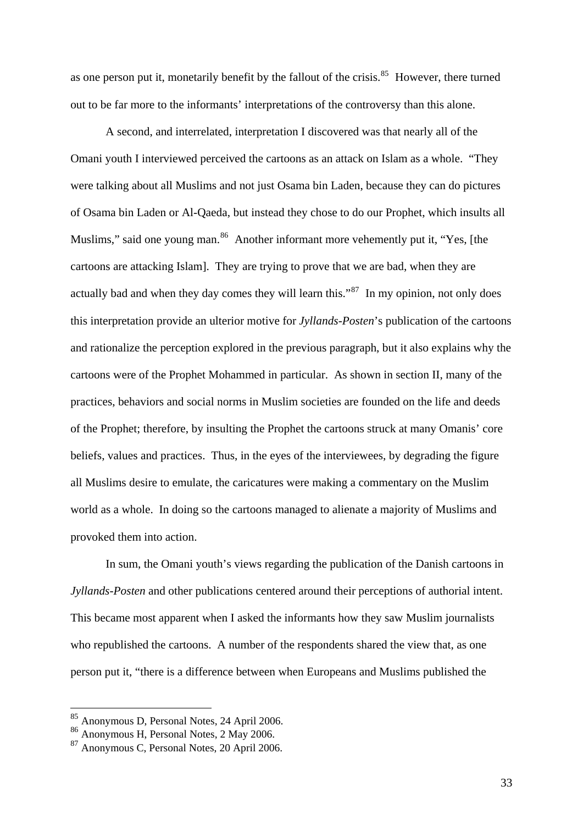as one person put it, monetarily benefit by the fallout of the crisis. $85$  However, there turned out to be far more to the informants' interpretations of the controversy than this alone.

 A second, and interrelated, interpretation I discovered was that nearly all of the Omani youth I interviewed perceived the cartoons as an attack on Islam as a whole. "They were talking about all Muslims and not just Osama bin Laden, because they can do pictures of Osama bin Laden or Al-Qaeda, but instead they chose to do our Prophet, which insults all Muslims," said one young man.<sup>[86](#page-33-1)</sup> Another informant more vehemently put it, "Yes, [the cartoons are attacking Islam]. They are trying to prove that we are bad, when they are actually bad and when they day comes they will learn this."<sup>[87](#page-33-2)</sup> In my opinion, not only does this interpretation provide an ulterior motive for *Jyllands-Posten*'s publication of the cartoons and rationalize the perception explored in the previous paragraph, but it also explains why the cartoons were of the Prophet Mohammed in particular. As shown in section II, many of the practices, behaviors and social norms in Muslim societies are founded on the life and deeds of the Prophet; therefore, by insulting the Prophet the cartoons struck at many Omanis' core beliefs, values and practices. Thus, in the eyes of the interviewees, by degrading the figure all Muslims desire to emulate, the caricatures were making a commentary on the Muslim world as a whole. In doing so the cartoons managed to alienate a majority of Muslims and provoked them into action.

 In sum, the Omani youth's views regarding the publication of the Danish cartoons in *Jyllands-Posten* and other publications centered around their perceptions of authorial intent. This became most apparent when I asked the informants how they saw Muslim journalists who republished the cartoons. A number of the respondents shared the view that, as one person put it, "there is a difference between when Europeans and Muslims published the

<sup>&</sup>lt;sup>85</sup> Anonymous D, Personal Notes, 24 April 2006.

<span id="page-33-1"></span><span id="page-33-0"></span><sup>86</sup> Anonymous H, Personal Notes, 2 May 2006.

<span id="page-33-2"></span><sup>87</sup> Anonymous C, Personal Notes, 20 April 2006.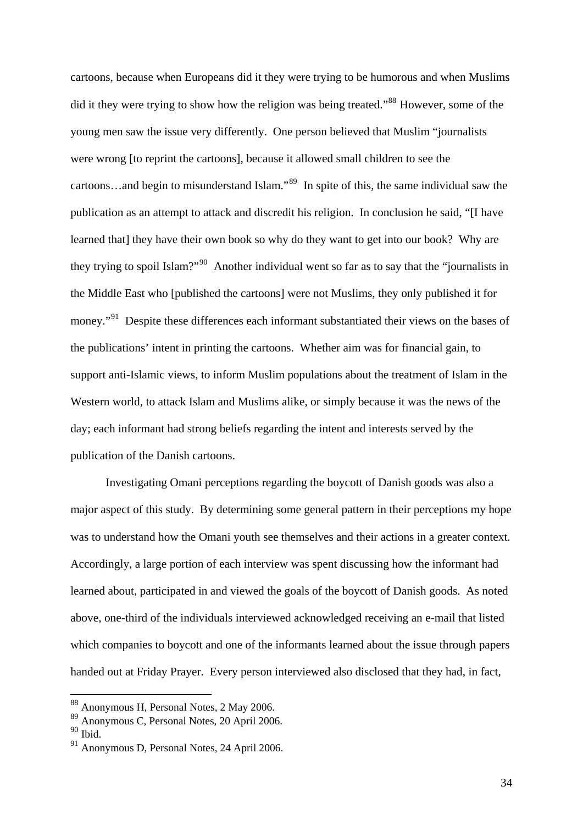cartoons, because when Europeans did it they were trying to be humorous and when Muslims did it they were trying to show how the religion was being treated."<sup>[88](#page-34-0)</sup> However, some of the young men saw the issue very differently. One person believed that Muslim "journalists were wrong [to reprint the cartoons], because it allowed small children to see the cartoons…and begin to misunderstand Islam."[89](#page-34-1) In spite of this, the same individual saw the publication as an attempt to attack and discredit his religion. In conclusion he said, "[I have learned that] they have their own book so why do they want to get into our book? Why are they trying to spoil Islam?"<sup>[90](#page-34-2)</sup> Another individual went so far as to say that the "journalists in the Middle East who [published the cartoons] were not Muslims, they only published it for money."<sup>[91](#page-34-3)</sup> Despite these differences each informant substantiated their views on the bases of the publications' intent in printing the cartoons. Whether aim was for financial gain, to support anti-Islamic views, to inform Muslim populations about the treatment of Islam in the Western world, to attack Islam and Muslims alike, or simply because it was the news of the day; each informant had strong beliefs regarding the intent and interests served by the publication of the Danish cartoons.

 Investigating Omani perceptions regarding the boycott of Danish goods was also a major aspect of this study. By determining some general pattern in their perceptions my hope was to understand how the Omani youth see themselves and their actions in a greater context. Accordingly, a large portion of each interview was spent discussing how the informant had learned about, participated in and viewed the goals of the boycott of Danish goods. As noted above, one-third of the individuals interviewed acknowledged receiving an e-mail that listed which companies to boycott and one of the informants learned about the issue through papers handed out at Friday Prayer. Every person interviewed also disclosed that they had, in fact,

<sup>88</sup> Anonymous H, Personal Notes, 2 May 2006.

<span id="page-34-1"></span><span id="page-34-0"></span><sup>89</sup> Anonymous C, Personal Notes, 20 April 2006.

<span id="page-34-2"></span><sup>90</sup> Ibid.

<span id="page-34-3"></span><sup>91</sup> Anonymous D, Personal Notes, 24 April 2006.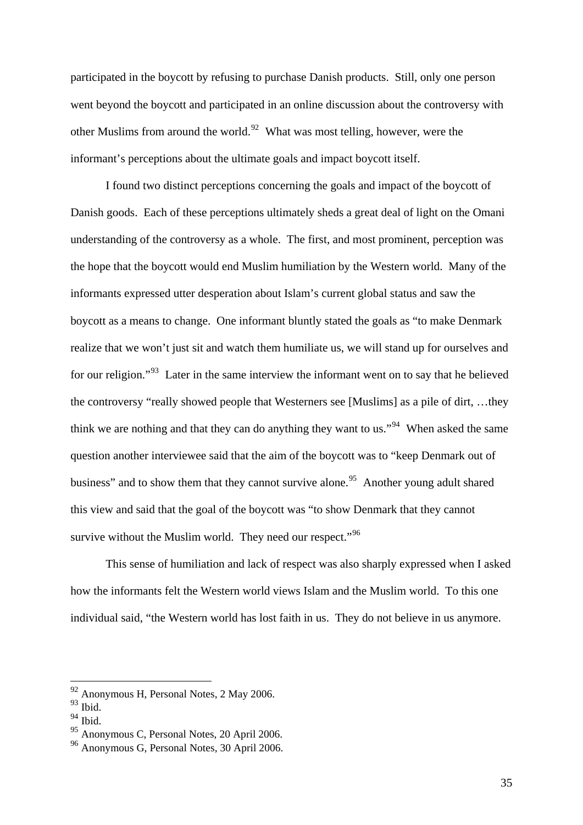participated in the boycott by refusing to purchase Danish products. Still, only one person went beyond the boycott and participated in an online discussion about the controversy with other Muslims from around the world.<sup>[92](#page-35-0)</sup> What was most telling, however, were the informant's perceptions about the ultimate goals and impact boycott itself.

 I found two distinct perceptions concerning the goals and impact of the boycott of Danish goods. Each of these perceptions ultimately sheds a great deal of light on the Omani understanding of the controversy as a whole. The first, and most prominent, perception was the hope that the boycott would end Muslim humiliation by the Western world. Many of the informants expressed utter desperation about Islam's current global status and saw the boycott as a means to change. One informant bluntly stated the goals as "to make Denmark realize that we won't just sit and watch them humiliate us, we will stand up for ourselves and for our religion."<sup>[93](#page-35-1)</sup> Later in the same interview the informant went on to say that he believed the controversy "really showed people that Westerners see [Muslims] as a pile of dirt, …they think we are nothing and that they can do anything they want to us."<sup>[94](#page-35-2)</sup> When asked the same question another interviewee said that the aim of the boycott was to "keep Denmark out of business" and to show them that they cannot survive alone.<sup>[95](#page-35-3)</sup> Another young adult shared this view and said that the goal of the boycott was "to show Denmark that they cannot survive without the Muslim world. They need our respect."<sup>[96](#page-35-4)</sup>

This sense of humiliation and lack of respect was also sharply expressed when I asked how the informants felt the Western world views Islam and the Muslim world. To this one individual said, "the Western world has lost faith in us. They do not believe in us anymore.

<u>.</u>

 $92$  Anonymous H, Personal Notes, 2 May 2006.

<span id="page-35-1"></span><span id="page-35-0"></span> $93$  Ibid.

<span id="page-35-2"></span><sup>94</sup> Ibid.

<span id="page-35-3"></span><sup>95</sup> Anonymous C, Personal Notes, 20 April 2006.

<span id="page-35-4"></span><sup>96</sup> Anonymous G, Personal Notes, 30 April 2006.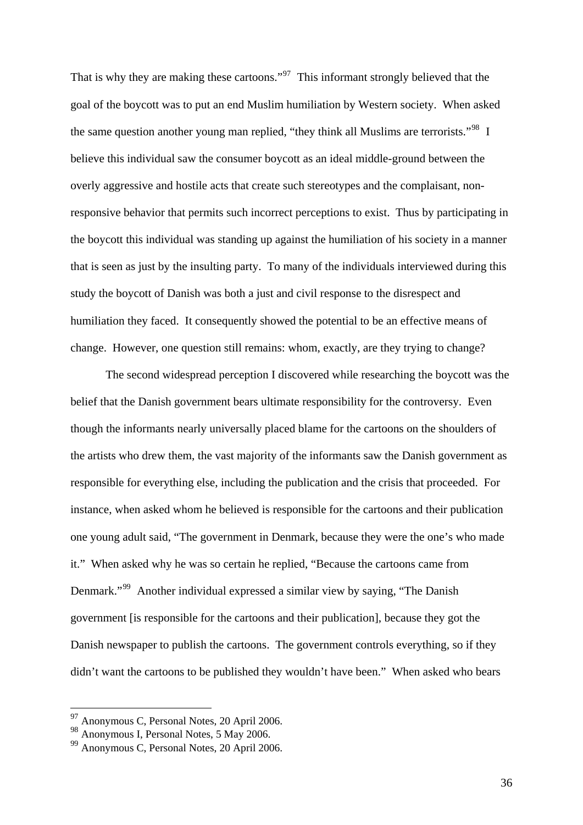That is why they are making these cartoons."<sup>[97](#page-36-0)</sup> This informant strongly believed that the goal of the boycott was to put an end Muslim humiliation by Western society. When asked the same question another young man replied, "they think all Muslims are terrorists."<sup>[98](#page-36-1)</sup> I believe this individual saw the consumer boycott as an ideal middle-ground between the overly aggressive and hostile acts that create such stereotypes and the complaisant, nonresponsive behavior that permits such incorrect perceptions to exist. Thus by participating in the boycott this individual was standing up against the humiliation of his society in a manner that is seen as just by the insulting party. To many of the individuals interviewed during this study the boycott of Danish was both a just and civil response to the disrespect and humiliation they faced. It consequently showed the potential to be an effective means of change. However, one question still remains: whom, exactly, are they trying to change?

The second widespread perception I discovered while researching the boycott was the belief that the Danish government bears ultimate responsibility for the controversy. Even though the informants nearly universally placed blame for the cartoons on the shoulders of the artists who drew them, the vast majority of the informants saw the Danish government as responsible for everything else, including the publication and the crisis that proceeded. For instance, when asked whom he believed is responsible for the cartoons and their publication one young adult said, "The government in Denmark, because they were the one's who made it." When asked why he was so certain he replied, "Because the cartoons came from Denmark."[99](#page-36-2) Another individual expressed a similar view by saying, "The Danish government [is responsible for the cartoons and their publication], because they got the Danish newspaper to publish the cartoons. The government controls everything, so if they didn't want the cartoons to be published they wouldn't have been." When asked who bears

<sup>&</sup>lt;sup>97</sup> Anonymous C, Personal Notes, 20 April 2006.

<span id="page-36-1"></span><span id="page-36-0"></span><sup>98</sup> Anonymous I, Personal Notes, 5 May 2006.

<span id="page-36-2"></span><sup>99</sup> Anonymous C, Personal Notes, 20 April 2006.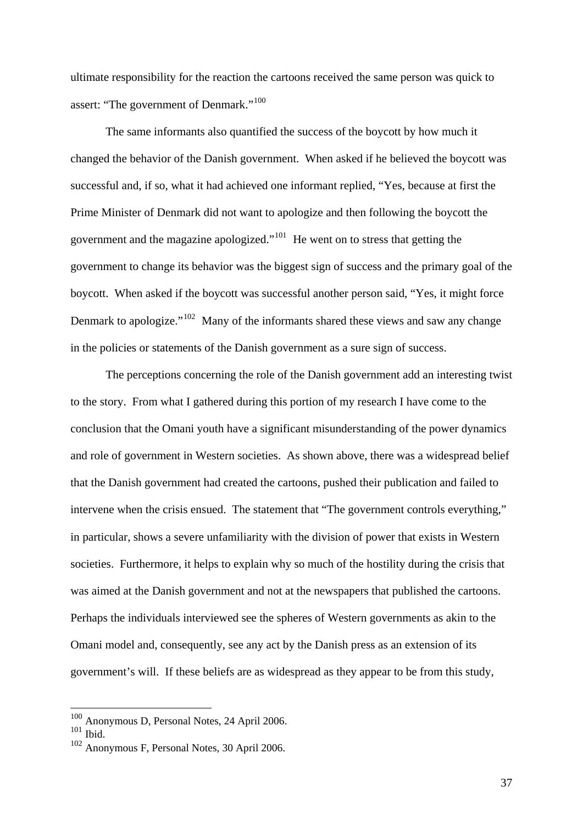ultimate responsibility for the reaction the cartoons received the same person was quick to assert: "The government of Denmark."<sup>[100](#page-37-0)</sup>

The same informants also quantified the success of the boycott by how much it changed the behavior of the Danish government. When asked if he believed the boycott was successful and, if so, what it had achieved one informant replied, "Yes, because at first the Prime Minister of Denmark did not want to apologize and then following the boycott the government and the magazine apologized."[101](#page-37-1) He went on to stress that getting the government to change its behavior was the biggest sign of success and the primary goal of the boycott. When asked if the boycott was successful another person said, "Yes, it might force Denmark to apologize."<sup>[102](#page-37-2)</sup> Many of the informants shared these views and saw any change in the policies or statements of the Danish government as a sure sign of success.

The perceptions concerning the role of the Danish government add an interesting twist to the story. From what I gathered during this portion of my research I have come to the conclusion that the Omani youth have a significant misunderstanding of the power dynamics and role of government in Western societies. As shown above, there was a widespread belief that the Danish government had created the cartoons, pushed their publication and failed to intervene when the crisis ensued. The statement that "The government controls everything," in particular, shows a severe unfamiliarity with the division of power that exists in Western societies. Furthermore, it helps to explain why so much of the hostility during the crisis that was aimed at the Danish government and not at the newspapers that published the cartoons. Perhaps the individuals interviewed see the spheres of Western governments as akin to the Omani model and, consequently, see any act by the Danish press as an extension of its government's will. If these beliefs are as widespread as they appear to be from this study,

<sup>100</sup> Anonymous D, Personal Notes, 24 April 2006.

<span id="page-37-1"></span><span id="page-37-0"></span> $101$  Ibid.

<span id="page-37-2"></span><sup>102</sup> Anonymous F, Personal Notes, 30 April 2006.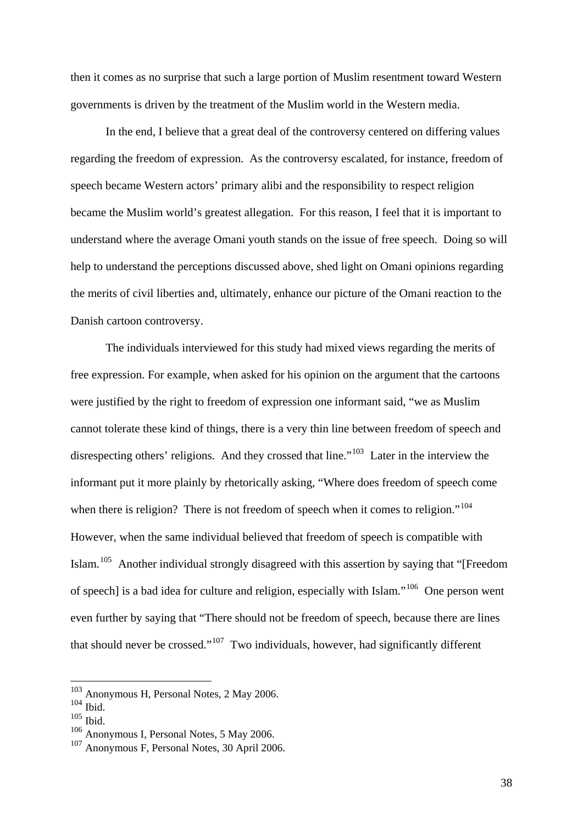then it comes as no surprise that such a large portion of Muslim resentment toward Western governments is driven by the treatment of the Muslim world in the Western media.

In the end, I believe that a great deal of the controversy centered on differing values regarding the freedom of expression. As the controversy escalated, for instance, freedom of speech became Western actors' primary alibi and the responsibility to respect religion became the Muslim world's greatest allegation. For this reason, I feel that it is important to understand where the average Omani youth stands on the issue of free speech. Doing so will help to understand the perceptions discussed above, shed light on Omani opinions regarding the merits of civil liberties and, ultimately, enhance our picture of the Omani reaction to the Danish cartoon controversy.

The individuals interviewed for this study had mixed views regarding the merits of free expression. For example, when asked for his opinion on the argument that the cartoons were justified by the right to freedom of expression one informant said, "we as Muslim cannot tolerate these kind of things, there is a very thin line between freedom of speech and disrespecting others' religions. And they crossed that line."<sup>[103](#page-38-0)</sup> Later in the interview the informant put it more plainly by rhetorically asking, "Where does freedom of speech come when there is religion? There is not freedom of speech when it comes to religion."<sup>[104](#page-38-1)</sup> However, when the same individual believed that freedom of speech is compatible with Islam.<sup>[105](#page-38-2)</sup> Another individual strongly disagreed with this assertion by saying that "[Freedom of speech] is a bad idea for culture and religion, especially with Islam."[106](#page-38-3) One person went even further by saying that "There should not be freedom of speech, because there are lines that should never be crossed." $107$  Two individuals, however, had significantly different

<u>.</u>

<sup>&</sup>lt;sup>103</sup> Anonymous H, Personal Notes, 2 May 2006.

<span id="page-38-1"></span><span id="page-38-0"></span> $104$  Ibid.

<span id="page-38-2"></span> $105$  Ibid.

<span id="page-38-3"></span><sup>106</sup> Anonymous I, Personal Notes, 5 May 2006.

<span id="page-38-4"></span><sup>107</sup> Anonymous F, Personal Notes, 30 April 2006.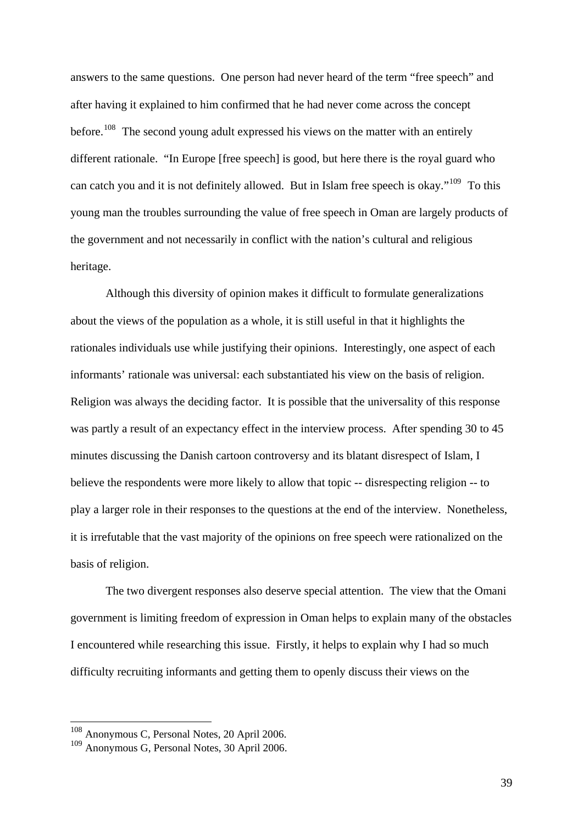answers to the same questions. One person had never heard of the term "free speech" and after having it explained to him confirmed that he had never come across the concept before.<sup>[108](#page-39-0)</sup> The second young adult expressed his views on the matter with an entirely different rationale. "In Europe [free speech] is good, but here there is the royal guard who can catch you and it is not definitely allowed. But in Islam free speech is okay."<sup>[109](#page-39-1)</sup> To this young man the troubles surrounding the value of free speech in Oman are largely products of the government and not necessarily in conflict with the nation's cultural and religious heritage.

Although this diversity of opinion makes it difficult to formulate generalizations about the views of the population as a whole, it is still useful in that it highlights the rationales individuals use while justifying their opinions. Interestingly, one aspect of each informants' rationale was universal: each substantiated his view on the basis of religion. Religion was always the deciding factor. It is possible that the universality of this response was partly a result of an expectancy effect in the interview process. After spending 30 to 45 minutes discussing the Danish cartoon controversy and its blatant disrespect of Islam, I believe the respondents were more likely to allow that topic -- disrespecting religion -- to play a larger role in their responses to the questions at the end of the interview. Nonetheless, it is irrefutable that the vast majority of the opinions on free speech were rationalized on the basis of religion.

The two divergent responses also deserve special attention. The view that the Omani government is limiting freedom of expression in Oman helps to explain many of the obstacles I encountered while researching this issue. Firstly, it helps to explain why I had so much difficulty recruiting informants and getting them to openly discuss their views on the

<sup>&</sup>lt;sup>108</sup> Anonymous C, Personal Notes, 20 April 2006.

<span id="page-39-1"></span><span id="page-39-0"></span><sup>109</sup> Anonymous G, Personal Notes, 30 April 2006.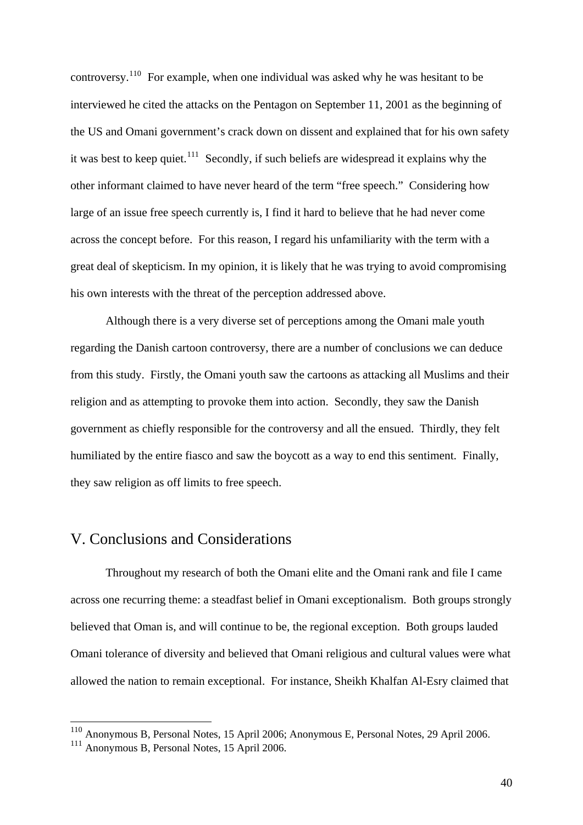controversy.[110](#page-40-0) For example, when one individual was asked why he was hesitant to be interviewed he cited the attacks on the Pentagon on September 11, 2001 as the beginning of the US and Omani government's crack down on dissent and explained that for his own safety it was best to keep quiet.<sup>[111](#page-40-1)</sup> Secondly, if such beliefs are widespread it explains why the other informant claimed to have never heard of the term "free speech." Considering how large of an issue free speech currently is, I find it hard to believe that he had never come across the concept before. For this reason, I regard his unfamiliarity with the term with a great deal of skepticism. In my opinion, it is likely that he was trying to avoid compromising his own interests with the threat of the perception addressed above.

Although there is a very diverse set of perceptions among the Omani male youth regarding the Danish cartoon controversy, there are a number of conclusions we can deduce from this study. Firstly, the Omani youth saw the cartoons as attacking all Muslims and their religion and as attempting to provoke them into action. Secondly, they saw the Danish government as chiefly responsible for the controversy and all the ensued. Thirdly, they felt humiliated by the entire fiasco and saw the boycott as a way to end this sentiment. Finally, they saw religion as off limits to free speech.

# V. Conclusions and Considerations

 Throughout my research of both the Omani elite and the Omani rank and file I came across one recurring theme: a steadfast belief in Omani exceptionalism. Both groups strongly believed that Oman is, and will continue to be, the regional exception. Both groups lauded Omani tolerance of diversity and believed that Omani religious and cultural values were what allowed the nation to remain exceptional. For instance, Sheikh Khalfan Al-Esry claimed that

<span id="page-40-0"></span><sup>110</sup> Anonymous B, Personal Notes, 15 April 2006; Anonymous E, Personal Notes, 29 April 2006.

<span id="page-40-1"></span><sup>111</sup> Anonymous B, Personal Notes, 15 April 2006.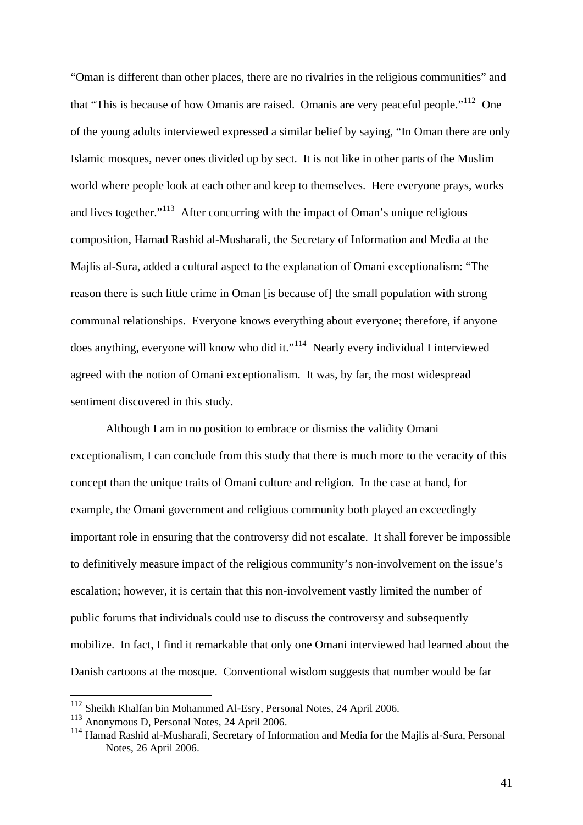"Oman is different than other places, there are no rivalries in the religious communities" and that "This is because of how Omanis are raised. Omanis are very peaceful people."<sup>[112](#page-41-0)</sup> One of the young adults interviewed expressed a similar belief by saying, "In Oman there are only Islamic mosques, never ones divided up by sect. It is not like in other parts of the Muslim world where people look at each other and keep to themselves. Here everyone prays, works and lives together."[113](#page-41-1) After concurring with the impact of Oman's unique religious composition, Hamad Rashid al-Musharafi, the Secretary of Information and Media at the Majlis al-Sura, added a cultural aspect to the explanation of Omani exceptionalism: "The reason there is such little crime in Oman [is because of] the small population with strong communal relationships. Everyone knows everything about everyone; therefore, if anyone does anything, everyone will know who did it."<sup>[114](#page-41-2)</sup> Nearly every individual I interviewed agreed with the notion of Omani exceptionalism. It was, by far, the most widespread sentiment discovered in this study.

 Although I am in no position to embrace or dismiss the validity Omani exceptionalism, I can conclude from this study that there is much more to the veracity of this concept than the unique traits of Omani culture and religion. In the case at hand, for example, the Omani government and religious community both played an exceedingly important role in ensuring that the controversy did not escalate. It shall forever be impossible to definitively measure impact of the religious community's non-involvement on the issue's escalation; however, it is certain that this non-involvement vastly limited the number of public forums that individuals could use to discuss the controversy and subsequently mobilize. In fact, I find it remarkable that only one Omani interviewed had learned about the Danish cartoons at the mosque. Conventional wisdom suggests that number would be far

<span id="page-41-0"></span><sup>112</sup> Sheikh Khalfan bin Mohammed Al-Esry, Personal Notes, 24 April 2006.

<span id="page-41-1"></span><sup>113</sup> Anonymous D, Personal Notes, 24 April 2006.

<span id="page-41-2"></span><sup>&</sup>lt;sup>114</sup> Hamad Rashid al-Musharafi, Secretary of Information and Media for the Majlis al-Sura, Personal Notes, 26 April 2006.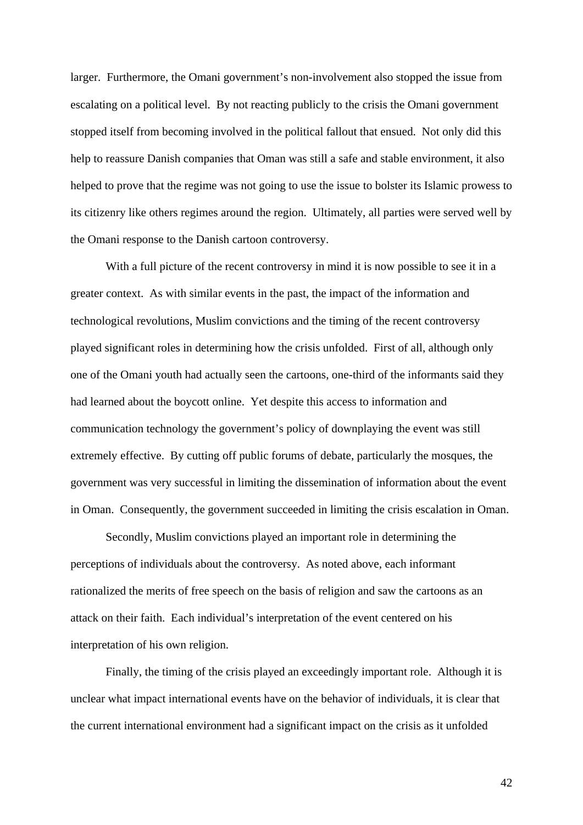larger. Furthermore, the Omani government's non-involvement also stopped the issue from escalating on a political level. By not reacting publicly to the crisis the Omani government stopped itself from becoming involved in the political fallout that ensued. Not only did this help to reassure Danish companies that Oman was still a safe and stable environment, it also helped to prove that the regime was not going to use the issue to bolster its Islamic prowess to its citizenry like others regimes around the region. Ultimately, all parties were served well by the Omani response to the Danish cartoon controversy.

 With a full picture of the recent controversy in mind it is now possible to see it in a greater context. As with similar events in the past, the impact of the information and technological revolutions, Muslim convictions and the timing of the recent controversy played significant roles in determining how the crisis unfolded. First of all, although only one of the Omani youth had actually seen the cartoons, one-third of the informants said they had learned about the boycott online. Yet despite this access to information and communication technology the government's policy of downplaying the event was still extremely effective. By cutting off public forums of debate, particularly the mosques, the government was very successful in limiting the dissemination of information about the event in Oman. Consequently, the government succeeded in limiting the crisis escalation in Oman.

Secondly, Muslim convictions played an important role in determining the perceptions of individuals about the controversy. As noted above, each informant rationalized the merits of free speech on the basis of religion and saw the cartoons as an attack on their faith. Each individual's interpretation of the event centered on his interpretation of his own religion.

Finally, the timing of the crisis played an exceedingly important role. Although it is unclear what impact international events have on the behavior of individuals, it is clear that the current international environment had a significant impact on the crisis as it unfolded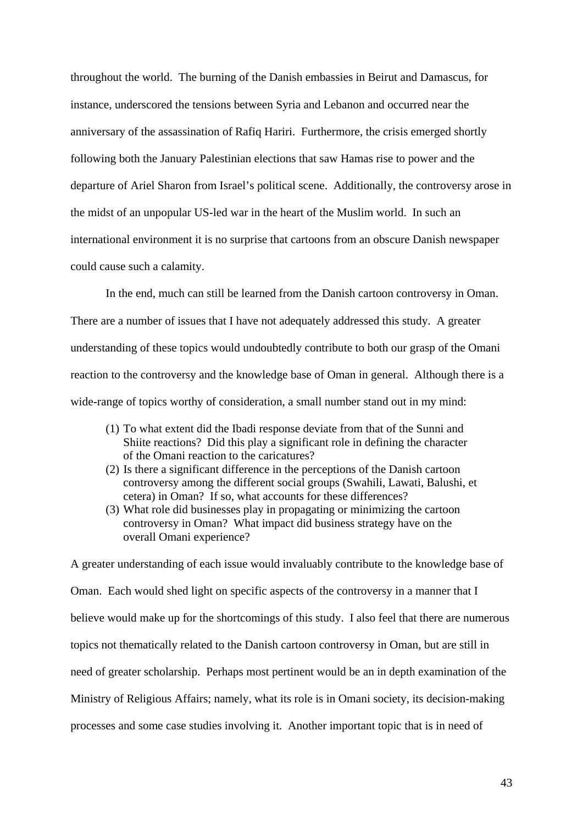throughout the world. The burning of the Danish embassies in Beirut and Damascus, for instance, underscored the tensions between Syria and Lebanon and occurred near the anniversary of the assassination of Rafiq Hariri. Furthermore, the crisis emerged shortly following both the January Palestinian elections that saw Hamas rise to power and the departure of Ariel Sharon from Israel's political scene. Additionally, the controversy arose in the midst of an unpopular US-led war in the heart of the Muslim world. In such an international environment it is no surprise that cartoons from an obscure Danish newspaper could cause such a calamity.

 In the end, much can still be learned from the Danish cartoon controversy in Oman. There are a number of issues that I have not adequately addressed this study. A greater understanding of these topics would undoubtedly contribute to both our grasp of the Omani reaction to the controversy and the knowledge base of Oman in general. Although there is a wide-range of topics worthy of consideration, a small number stand out in my mind:

- (1) To what extent did the Ibadi response deviate from that of the Sunni and Shiite reactions? Did this play a significant role in defining the character of the Omani reaction to the caricatures?
- (2) Is there a significant difference in the perceptions of the Danish cartoon controversy among the different social groups (Swahili, Lawati, Balushi, et cetera) in Oman? If so, what accounts for these differences?
- (3) What role did businesses play in propagating or minimizing the cartoon controversy in Oman? What impact did business strategy have on the overall Omani experience?

A greater understanding of each issue would invaluably contribute to the knowledge base of Oman. Each would shed light on specific aspects of the controversy in a manner that I believe would make up for the shortcomings of this study. I also feel that there are numerous topics not thematically related to the Danish cartoon controversy in Oman, but are still in need of greater scholarship. Perhaps most pertinent would be an in depth examination of the Ministry of Religious Affairs; namely, what its role is in Omani society, its decision-making processes and some case studies involving it. Another important topic that is in need of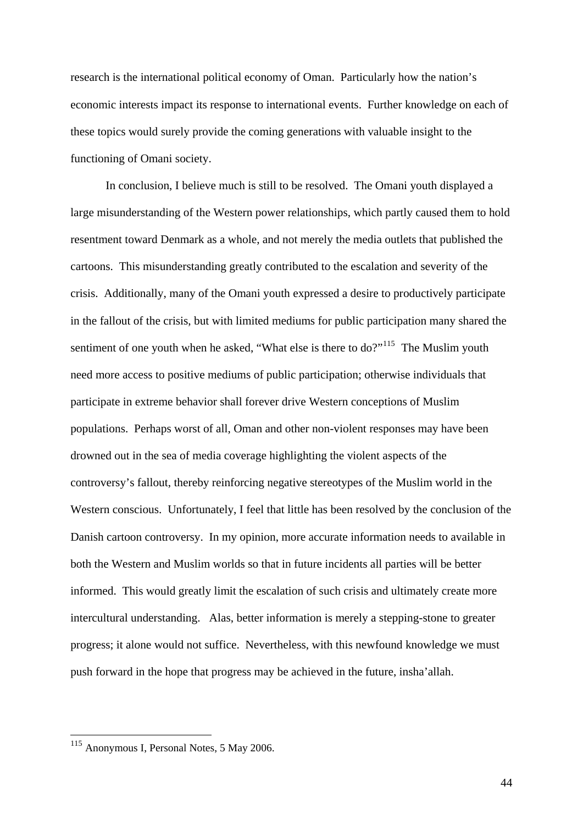research is the international political economy of Oman. Particularly how the nation's economic interests impact its response to international events. Further knowledge on each of these topics would surely provide the coming generations with valuable insight to the functioning of Omani society.

 In conclusion, I believe much is still to be resolved. The Omani youth displayed a large misunderstanding of the Western power relationships, which partly caused them to hold resentment toward Denmark as a whole, and not merely the media outlets that published the cartoons. This misunderstanding greatly contributed to the escalation and severity of the crisis. Additionally, many of the Omani youth expressed a desire to productively participate in the fallout of the crisis, but with limited mediums for public participation many shared the sentiment of one youth when he asked, "What else is there to do?"<sup>[115](#page-44-0)</sup> The Muslim youth need more access to positive mediums of public participation; otherwise individuals that participate in extreme behavior shall forever drive Western conceptions of Muslim populations. Perhaps worst of all, Oman and other non-violent responses may have been drowned out in the sea of media coverage highlighting the violent aspects of the controversy's fallout, thereby reinforcing negative stereotypes of the Muslim world in the Western conscious. Unfortunately, I feel that little has been resolved by the conclusion of the Danish cartoon controversy. In my opinion, more accurate information needs to available in both the Western and Muslim worlds so that in future incidents all parties will be better informed. This would greatly limit the escalation of such crisis and ultimately create more intercultural understanding. Alas, better information is merely a stepping-stone to greater progress; it alone would not suffice. Nevertheless, with this newfound knowledge we must push forward in the hope that progress may be achieved in the future, insha'allah.

<span id="page-44-0"></span><sup>&</sup>lt;sup>115</sup> Anonymous I, Personal Notes, 5 May 2006.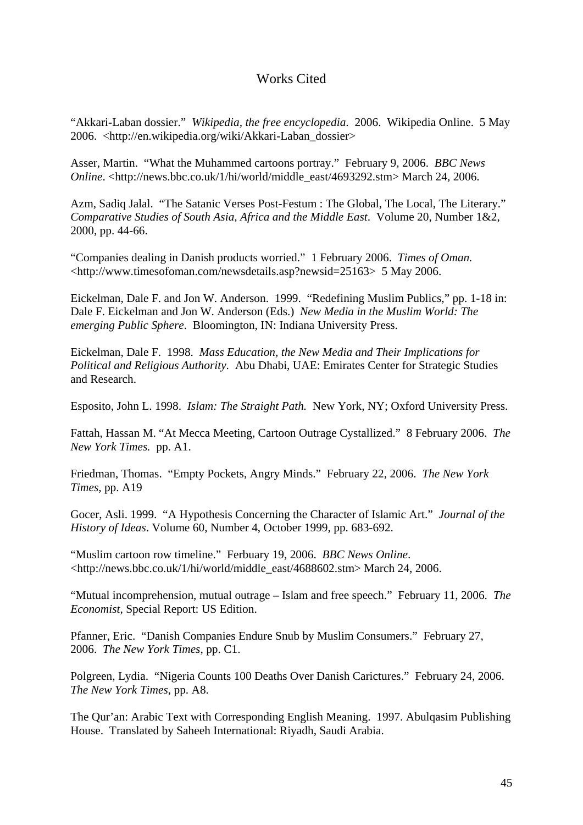## Works Cited

"Akkari-Laban dossier." *Wikipedia, the free encyclopedia*. 2006. Wikipedia Online. 5 May 2006. <http://en.wikipedia.org/wiki/Akkari-Laban\_dossier>

Asser, Martin. "What the Muhammed cartoons portray." February 9, 2006. *BBC News Online*. <http://news.bbc.co.uk/1/hi/world/middle\_east/4693292.stm> March 24, 2006.

Azm, Sadiq Jalal. "The Satanic Verses Post-Festum : The Global, The Local, The Literary." *Comparative Studies of South Asia, Africa and the Middle East*. Volume 20, Number 1&2, 2000, pp. 44-66.

"Companies dealing in Danish products worried." 1 February 2006. *Times of Oman.*  <http://www.timesofoman.com/newsdetails.asp?newsid=25163> 5 May 2006.

Eickelman, Dale F. and Jon W. Anderson. 1999. "Redefining Muslim Publics," pp. 1-18 in: Dale F. Eickelman and Jon W. Anderson (Eds.) *New Media in the Muslim World: The emerging Public Sphere*. Bloomington, IN: Indiana University Press.

Eickelman, Dale F. 1998. *Mass Education, the New Media and Their Implications for Political and Religious Authority*. Abu Dhabi, UAE: Emirates Center for Strategic Studies and Research.

Esposito, John L. 1998. *Islam: The Straight Path.* New York, NY; Oxford University Press.

Fattah, Hassan M. "At Mecca Meeting, Cartoon Outrage Cystallized." 8 February 2006. *The New York Times.* pp. A1.

Friedman, Thomas. "Empty Pockets, Angry Minds." February 22, 2006. *The New York Times*, pp. A19

Gocer, Asli. 1999. "A Hypothesis Concerning the Character of Islamic Art." *Journal of the History of Ideas*. Volume 60, Number 4, October 1999, pp. 683-692.

"Muslim cartoon row timeline." Ferbuary 19, 2006. *BBC News Online*. <http://news.bbc.co.uk/1/hi/world/middle\_east/4688602.stm> March 24, 2006.

"Mutual incomprehension, mutual outrage – Islam and free speech." February 11, 2006. *The Economist*, Special Report: US Edition.

Pfanner, Eric. "Danish Companies Endure Snub by Muslim Consumers." February 27, 2006. *The New York Times*, pp. C1.

Polgreen, Lydia. "Nigeria Counts 100 Deaths Over Danish Carictures." February 24, 2006. *The New York Times*, pp. A8.

The Qur'an: Arabic Text with Corresponding English Meaning. 1997. Abulqasim Publishing House. Translated by Saheeh International: Riyadh, Saudi Arabia.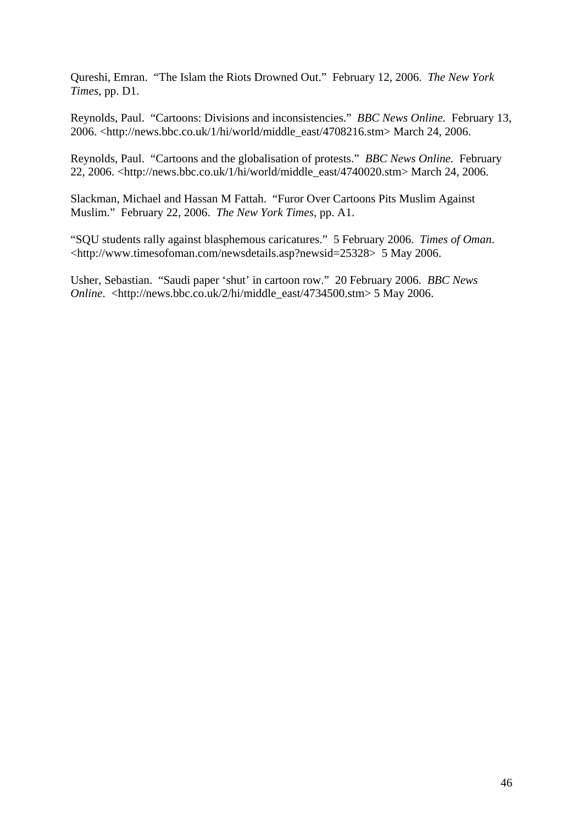Qureshi, Emran. "The Islam the Riots Drowned Out." February 12, 2006. *The New York Times*, pp. D1.

Reynolds, Paul. "Cartoons: Divisions and inconsistencies." *BBC News Online.* February 13, 2006. <http://news.bbc.co.uk/1/hi/world/middle\_east/4708216.stm> March 24, 2006.

Reynolds, Paul. "Cartoons and the globalisation of protests." *BBC News Online.* February 22, 2006. <http://news.bbc.co.uk/1/hi/world/middle\_east/4740020.stm> March 24, 2006.

Slackman, Michael and Hassan M Fattah. "Furor Over Cartoons Pits Muslim Against Muslim." February 22, 2006. *The New York Times*, pp. A1.

"SQU students rally against blasphemous caricatures." 5 February 2006. *Times of Oman*. <http://www.timesofoman.com/newsdetails.asp?newsid=25328> 5 May 2006.

Usher, Sebastian. "Saudi paper 'shut' in cartoon row." 20 February 2006. *BBC News Online*. <http://news.bbc.co.uk/2/hi/middle\_east/4734500.stm> 5 May 2006.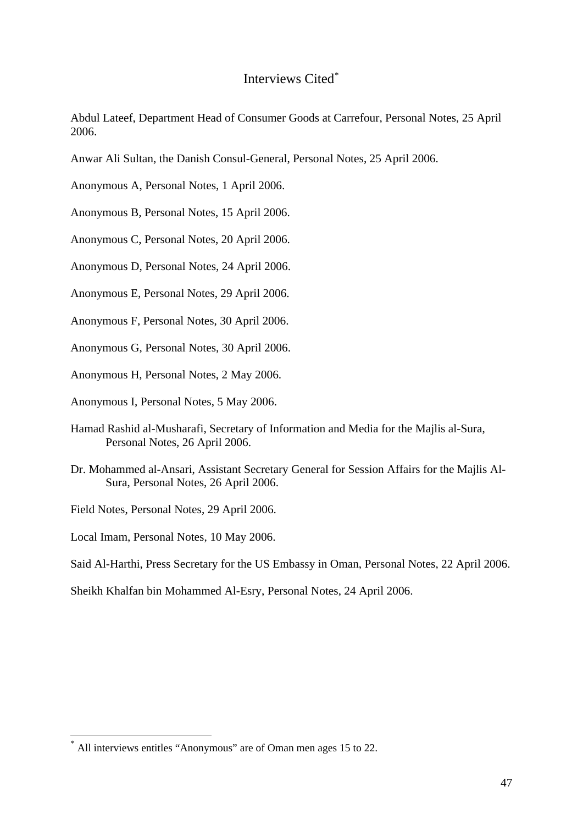## Interviews Cited[\\*](#page-47-0)

Abdul Lateef, Department Head of Consumer Goods at Carrefour, Personal Notes, 25 April 2006.

Anwar Ali Sultan, the Danish Consul-General, Personal Notes, 25 April 2006.

Anonymous A, Personal Notes, 1 April 2006.

Anonymous B, Personal Notes, 15 April 2006.

Anonymous C, Personal Notes, 20 April 2006.

Anonymous D, Personal Notes, 24 April 2006.

Anonymous E, Personal Notes, 29 April 2006.

Anonymous F, Personal Notes, 30 April 2006.

Anonymous G, Personal Notes, 30 April 2006.

Anonymous H, Personal Notes, 2 May 2006.

Anonymous I, Personal Notes, 5 May 2006.

- Hamad Rashid al-Musharafi, Secretary of Information and Media for the Majlis al-Sura, Personal Notes, 26 April 2006.
- Dr. Mohammed al-Ansari, Assistant Secretary General for Session Affairs for the Majlis Al-Sura, Personal Notes, 26 April 2006.

Field Notes, Personal Notes, 29 April 2006.

Local Imam, Personal Notes, 10 May 2006.

<span id="page-47-0"></span>1

Said Al-Harthi, Press Secretary for the US Embassy in Oman, Personal Notes, 22 April 2006.

Sheikh Khalfan bin Mohammed Al-Esry, Personal Notes, 24 April 2006.

All interviews entitles "Anonymous" are of Oman men ages 15 to 22.